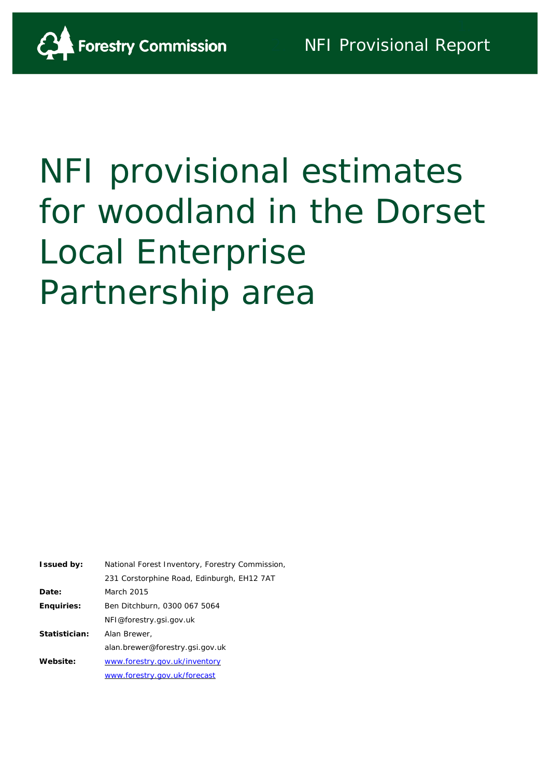

# NFI provisional estimates for woodland in the Dorset Local Enterprise Partnership area

| <b>Issued by:</b> | National Forest Inventory, Forestry Commission, |
|-------------------|-------------------------------------------------|
|                   | 231 Corstorphine Road, Edinburgh, EH12 7AT      |
| Date:             | March 2015                                      |
| <b>Enquiries:</b> | Ben Ditchburn, 0300 067 5064                    |
|                   | NFI@forestry.gsi.gov.uk                         |
| Statistician:     | Alan Brewer.                                    |
|                   | alan.brewer@forestry.gsi.gov.uk                 |
| Website:          | www.forestry.gov.uk/inventory                   |
|                   | www.forestry.gov.uk/forecast                    |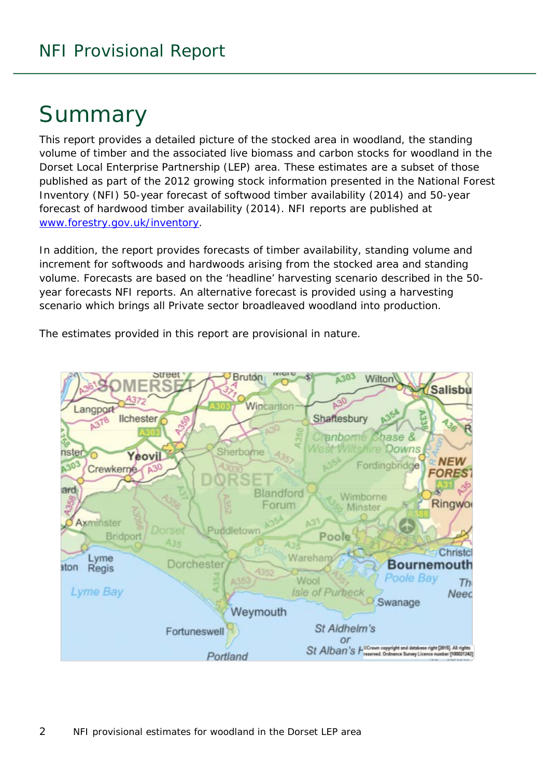# Summary

This report provides a detailed picture of the stocked area in woodland, the standing volume of timber and the associated live biomass and carbon stocks for woodland in the Dorset Local Enterprise Partnership (LEP) area. These estimates are a subset of those published as part of the 2012 growing stock information presented in the National Forest Inventory (NFI) *50-year forecast of softwood timber availability* (2014) and *50-year forecast of hardwood timber availability* (2014). NFI reports are published at [www.forestry.gov.uk/inventory.](http://www.forestry.gov.uk/inventory)

In addition, the report provides forecasts of timber availability, standing volume and increment for softwoods and hardwoods arising from the stocked area and standing volume. Forecasts are based on the 'headline' harvesting scenario described in the 50 year forecasts NFI reports. An alternative forecast is provided using a harvesting scenario which brings all Private sector broadleaved woodland into production.

The estimates provided in this report are provisional in nature.

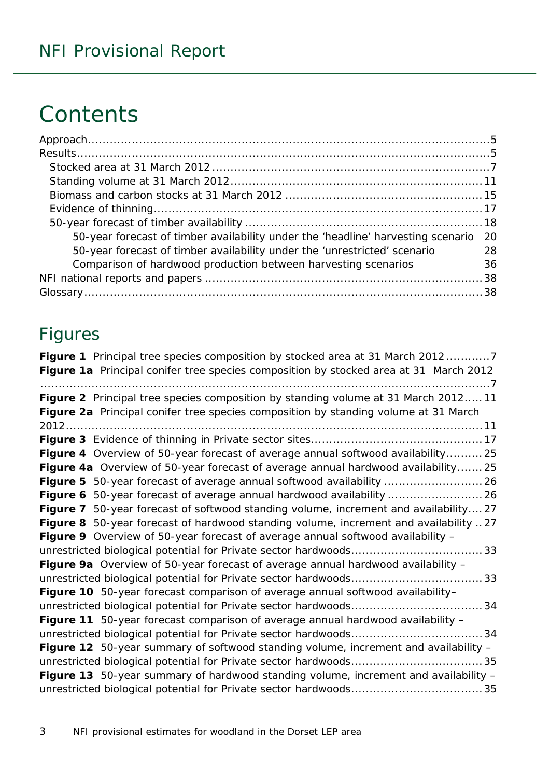# **Contents**

| 50-year forecast of timber availability under the 'headline' harvesting scenario | -20 |
|----------------------------------------------------------------------------------|-----|
| 50-year forecast of timber availability under the 'unrestricted' scenario        | 28  |
| Comparison of hardwood production between harvesting scenarios                   | 36  |
|                                                                                  |     |
|                                                                                  |     |

### Figures

| Figure 1 Principal tree species composition by stocked area at 31 March 20127         |
|---------------------------------------------------------------------------------------|
| Figure 1a Principal conifer tree species composition by stocked area at 31 March 2012 |
|                                                                                       |
| Figure 2 Principal tree species composition by standing volume at 31 March 201211     |
| Figure 2a Principal conifer tree species composition by standing volume at 31 March   |
|                                                                                       |
|                                                                                       |
| Figure 4 Overview of 50-year forecast of average annual softwood availability 25      |
| Figure 4a Overview of 50-year forecast of average annual hardwood availability25      |
| Figure 5 50-year forecast of average annual softwood availability  26                 |
|                                                                                       |
| Figure 7 50-year forecast of softwood standing volume, increment and availability27   |
| Figure 8 50-year forecast of hardwood standing volume, increment and availability 27  |
| Figure 9 Overview of 50-year forecast of average annual softwood availability -       |
|                                                                                       |
| Figure 9a Overview of 50-year forecast of average annual hardwood availability -      |
|                                                                                       |
| Figure 10 50-year forecast comparison of average annual softwood availability-        |
|                                                                                       |
| Figure 11 50-year forecast comparison of average annual hardwood availability -       |
|                                                                                       |
| Figure 12 50-year summary of softwood standing volume, increment and availability -   |
|                                                                                       |
| Figure 13 50-year summary of hardwood standing volume, increment and availability -   |
|                                                                                       |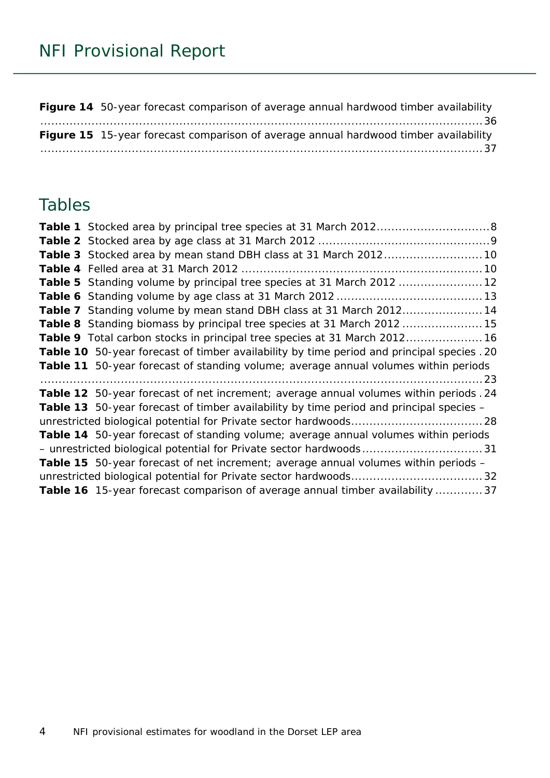| Figure 14 50-year forecast comparison of average annual hardwood timber availability |
|--------------------------------------------------------------------------------------|
|                                                                                      |
| Figure 15 15-year forecast comparison of average annual hardwood timber availability |
|                                                                                      |

### Tables

| Table 3 Stocked area by mean stand DBH class at 31 March 2012 10                           |
|--------------------------------------------------------------------------------------------|
|                                                                                            |
| Table 5 Standing volume by principal tree species at 31 March 2012  12                     |
|                                                                                            |
| Table 7 Standing volume by mean stand DBH class at 31 March 2012 14                        |
| Table 8 Standing biomass by principal tree species at 31 March 2012  15                    |
| Table 9 Total carbon stocks in principal tree species at 31 March 2012 16                  |
| Table 10 50-year forecast of timber availability by time period and principal species . 20 |
| Table 11 50-year forecast of standing volume; average annual volumes within periods        |
|                                                                                            |
| Table 12 50-year forecast of net increment; average annual volumes within periods . 24     |
| Table 13 50-year forecast of timber availability by time period and principal species -    |
|                                                                                            |
| Table 14 50-year forecast of standing volume; average annual volumes within periods        |
| - unrestricted biological potential for Private sector hardwoods31                         |
| Table 15 50-year forecast of net increment; average annual volumes within periods -        |
|                                                                                            |
| Table 16 15-year forecast comparison of average annual timber availability  37             |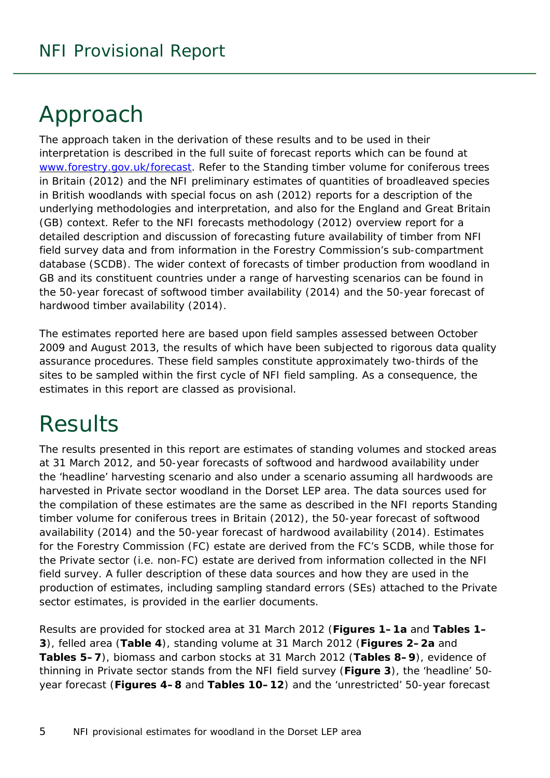# <span id="page-4-0"></span>Approach

The approach taken in the derivation of these results and to be used in their interpretation is described in the full suite of forecast reports which can be found at [www.forestry.gov.uk/forecast.](http://www.forestry.gov.uk/forecast) Refer to the *Standing timber volume for coniferous trees in Britain* (2012) and the *NFI preliminary estimates of quantities of broadleaved species in British woodlands with special focus on ash* (2012) reports for a description of the underlying methodologies and interpretation, and also for the England and Great Britain (GB) context. Refer to the *NFI forecasts methodology* (2012) overview report for a detailed description and discussion of forecasting future availability of timber from NFI field survey data and from information in the Forestry Commission's sub-compartment database (SCDB). The wider context of forecasts of timber production from woodland in GB and its constituent countries under a range of harvesting scenarios can be found in the *50-year forecast of softwood timber availability* (2014) and the *50-year forecast of hardwood timber availability* (2014).

The estimates reported here are based upon field samples assessed between October 2009 and August 2013, the results of which have been subjected to rigorous data quality assurance procedures. These field samples constitute approximately two-thirds of the sites to be sampled within the first cycle of NFI field sampling. As a consequence, the estimates in this report are classed as provisional.

# <span id="page-4-1"></span>**Results**

The results presented in this report are estimates of standing volumes and stocked areas at 31 March 2012, and 50-year forecasts of softwood and hardwood availability under the 'headline' harvesting scenario and also under a scenario assuming all hardwoods are harvested in Private sector woodland in the Dorset LEP area. The data sources used for the compilation of these estimates are the same as described in the NFI reports *Standing timber volume for coniferous trees in Britain* (2012), the *50-year forecast of softwood availability* (2014) and the *50-year forecast of hardwood availability* (2014). Estimates for the Forestry Commission (FC) estate are derived from the FC's SCDB, while those for the Private sector (i.e. non-FC) estate are derived from information collected in the NFI field survey. A fuller description of these data sources and how they are used in the production of estimates, including sampling standard errors (SEs) attached to the Private sector estimates, is provided in the earlier documents.

Results are provided for stocked area at 31 March 2012 (**Figures 1–1a** and **Tables 1– 3**), felled area (**Table 4**), standing volume at 31 March 2012 (**Figures 2–2a** and **Tables 5–7**), biomass and carbon stocks at 31 March 2012 (**Tables 8–9**), evidence of thinning in Private sector stands from the NFI field survey (**Figure 3**), the 'headline' 50 year forecast (**Figures 4–8** and **Tables 10–12**) and the 'unrestricted' 50-year forecast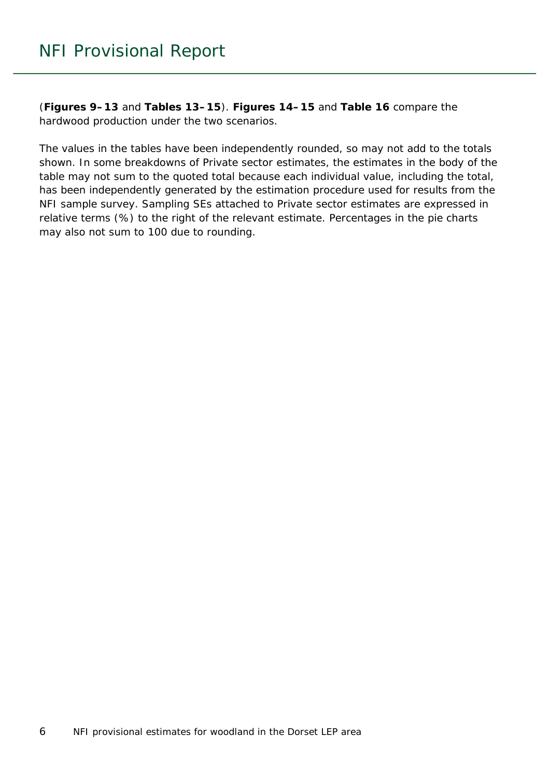(**Figures 9–13** and **Tables 13–15**). **Figures 14–15** and **Table 16** compare the hardwood production under the two scenarios.

The values in the tables have been independently rounded, so may not add to the totals shown. In some breakdowns of Private sector estimates, the estimates in the body of the table may not sum to the quoted total because each individual value, including the total, has been independently generated by the estimation procedure used for results from the NFI sample survey. Sampling SEs attached to Private sector estimates are expressed in relative terms (%) to the right of the relevant estimate. Percentages in the pie charts may also not sum to 100 due to rounding.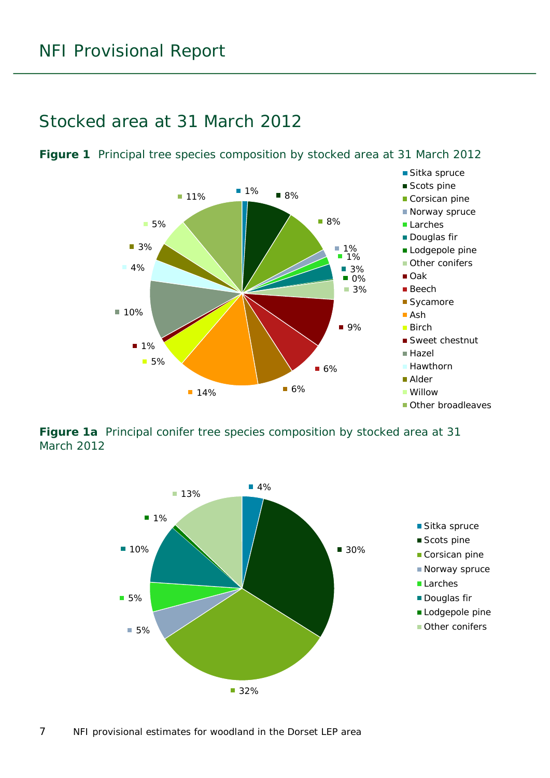#### <span id="page-6-0"></span>Stocked area at 31 March 2012

 $1\%$  8% ■ 8% ■ 1%  $\overline{1\%}$ ■ 3% ■ 0% ■ 3% **9%**  $6%$  $14\%$  6% ■ 5% ■ 1% ■ 10% 4% ■ 3% ■ 5% ■ 11% ■ Sitka spruce ■ Scots pine Corsican pine ■ Norway spruce **Larches** Douglas fir Lodgepole pine **Other conifers** ■ Oak ■ Beech Sycamore ■ Ash ■ Birch ■ Sweet chestnut ■ Hazel ■ Hawthorn ■ Alder Willow Other broadleaves

<span id="page-6-1"></span>**Figure 1** Principal tree species composition by stocked area at 31 March 2012

<span id="page-6-2"></span>**Figure 1a** Principal conifer tree species composition by stocked area at 31 March 2012

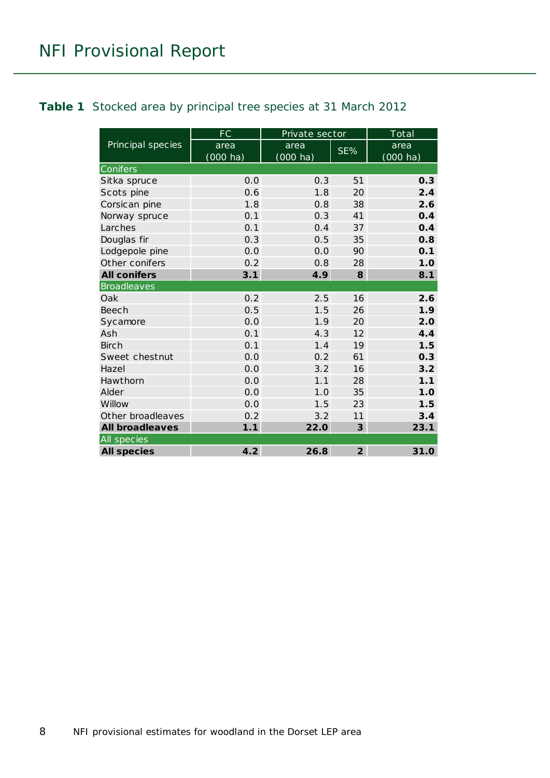#### <span id="page-7-0"></span>**Table 1** Stocked area by principal tree species at 31 March 2012

|                        | FC                 | Private sector |                | Total              |
|------------------------|--------------------|----------------|----------------|--------------------|
| Principal species      | area               | area           | $SE\%$         | area               |
|                        | $(000 \text{ ha})$ | (000 ha)       |                | $(000 \text{ ha})$ |
| Conifers               |                    |                |                |                    |
| Sitka spruce           | 0.0                | 0.3            | 51             | 0.3                |
| Scots pine             | 0.6                | 1.8            | 20             | 2.4                |
| Corsican pine          | 1.8                | 0.8            | 38             | 2.6                |
| Norway spruce          | 0.1                | 0.3            | 41             | O.4                |
| Larches                | 0.1                | 0.4            | 37             | 0.4                |
| Douglas fir            | 0.3                | 0.5            | 35             | 0.8                |
| Lodgepole pine         | 0.0                | 0.0            | 90             | 0.1                |
| Other conifers         | 0.2                | 0.8            | 28             | 1.0                |
| <b>All conifers</b>    | 3.1                | 4.9            | 8              | 8.1                |
| <b>Broadleaves</b>     |                    |                |                |                    |
| Oak                    | 0.2                | 2.5            | 16             | 2.6                |
| Beech                  | 0.5                | 1.5            | 26             | 1.9                |
| Sycamore               | 0.0                | 1.9            | 20             | 2.0                |
| Ash                    | 0.1                | 4.3            | 12             | 4.4                |
| <b>Birch</b>           | 0.1                | 1.4            | 19             | 1.5                |
| Sweet chestnut         | 0.0                | 0.2            | 61             | 0.3                |
| Hazel                  | 0.0                | 3.2            | 16             | 3.2                |
| Hawthorn               | 0.0                | 1.1            | 28             | 1.1                |
| Alder                  | 0.0                | 1.0            | 35             | 1.0                |
| Willow                 | 0.0                | 1.5            | 23             | 1.5                |
| Other broadleaves      | 0.2                | 3.2            | 11             | 3.4                |
| <b>All broadleaves</b> | 1.1                | 22.0           | 3              | 23.1               |
| All species            |                    |                |                |                    |
| <b>All species</b>     | 4.2                | 26.8           | $\overline{2}$ | 31.0               |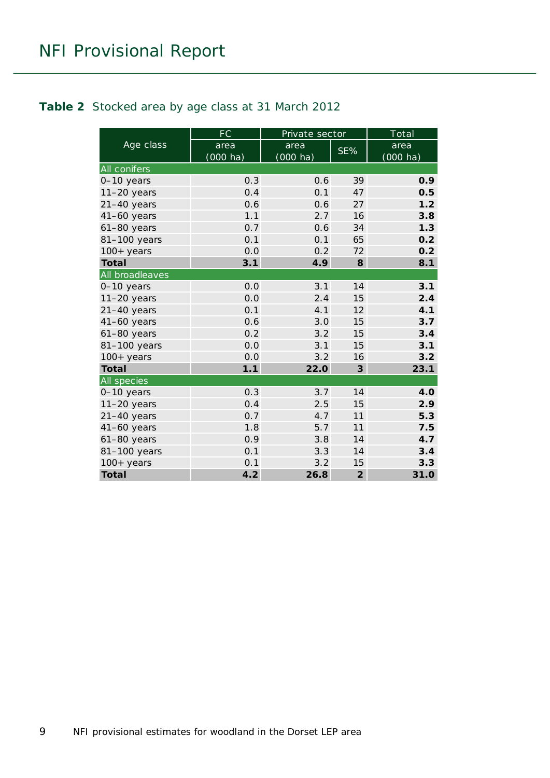#### <span id="page-8-0"></span>**Table 2** Stocked area by age class at 31 March 2012

|                     | <b>FC</b>                  | Private sector   |                | Total                      |
|---------------------|----------------------------|------------------|----------------|----------------------------|
| Age class           | area<br>$(000 \text{ ha})$ | area<br>(000 ha) | SE%            | area<br>$(000 \text{ ha})$ |
| <b>All conifers</b> |                            |                  |                |                            |
| 0-10 years          | 0.3                        | 0.6              | 39             | 0.9                        |
| $11-20$ years       | 0.4                        | 0.1              | 47             | 0.5                        |
| $21-40$ years       | 0.6                        | 0.6              | 27             | 1.2                        |
| 41-60 years         | 1.1                        | 2.7              | 16             | 3.8                        |
| $61-80$ years       | 0.7                        | 0.6              | 34             | 1.3                        |
| 81-100 years        | 0.1                        | 0.1              | 65             | 0.2                        |
| $100+$ years        | 0.0                        | 0.2              | 72             | 0.2                        |
| <b>Total</b>        | 3.1                        | 4.9              | 8              | 8.1                        |
| All broadleaves     |                            |                  |                |                            |
| 0-10 years          | 0.0                        | 3.1              | 14             | 3.1                        |
| $11-20$ years       | 0.0                        | 2.4              | 15             | 2.4                        |
| $21 - 40$ years     | 0.1                        | 4.1              | 12             | 4.1                        |
| $41-60$ years       | 0.6                        | 3.0              | 15             | 3.7                        |
| $61-80$ years       | 0.2                        | 3.2              | 15             | 3.4                        |
| 81-100 years        | 0.0                        | 3.1              | 15             | 3.1                        |
| $100+years$         | 0.0                        | 3.2              | 16             | 3.2                        |
| <b>Total</b>        | 1.1                        | 22.0             | 3              | 23.1                       |
| All species         |                            |                  |                |                            |
| 0-10 years          | 0.3                        | 3.7              | 14             | 4.0                        |
| $11-20$ years       | 0.4                        | 2.5              | 15             | 2.9                        |
| $21-40$ years       | 0.7                        | 4.7              | 11             | 5.3                        |
| $41-60$ years       | 1.8                        | 5.7              | 11             | 7.5                        |
| 61-80 years         | 0.9                        | 3.8              | 14             | 4.7                        |
| 81-100 years        | 0.1                        | 3.3              | 14             | 3.4                        |
| $100+$ years        | 0.1                        | 3.2              | 15             | 3.3                        |
| <b>Total</b>        | 4.2                        | 26.8             | $\overline{2}$ | 31.0                       |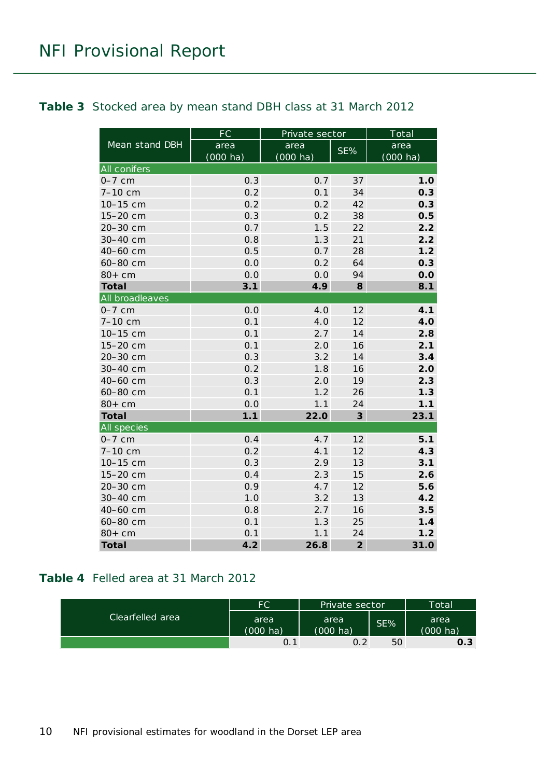#### <span id="page-9-0"></span>**Table 3** Stocked area by mean stand DBH class at 31 March 2012

|                     | <b>FC</b>          | Private sector     |                | Total              |
|---------------------|--------------------|--------------------|----------------|--------------------|
| Mean stand DBH      | area               | area               | SE%            | area               |
|                     | $(000 \text{ ha})$ | $(000 \text{ ha})$ |                | $(000 \text{ ha})$ |
| <b>All conifers</b> |                    |                    |                |                    |
| $0-7$ cm            | 0.3                | 0.7                | 37             | 1.0                |
| 7-10 cm             | 0.2                | 0.1                | 34             | 0.3                |
| 10-15 cm            | 0.2                | 0.2                | 42             | 0.3                |
| 15-20 cm            | 0.3                | 0.2                | 38             | 0.5                |
| 20-30 cm            | 0.7                | 1.5                | 22             | 2.2                |
| 30-40 cm            | 0.8                | 1.3                | 21             | 2.2                |
| 40-60 cm            | 0.5                | 0.7                | 28             | 1.2                |
| 60-80 cm            | 0.0                | 0.2                | 64             | 0.3                |
| $80+cm$             | 0.0                | 0.0                | 94             | 0.0                |
| <b>Total</b>        | 3.1                | 4.9                | 8              | 8.1                |
| All broadleaves     |                    |                    |                |                    |
| $0-7$ cm            | 0.0                | 4.0                | 12             | 4.1                |
| 7-10 cm             | 0.1                | 4.0                | 12             | 4.0                |
| 10-15 cm            | 0.1                | 2.7                | 14             | 2.8                |
| 15-20 cm            | 0.1                | 2.0                | 16             | 2.1                |
| 20-30 cm            | 0.3                | 3.2                | 14             | 3.4                |
| 30-40 cm            | 0.2                | 1.8                | 16             | 2.0                |
| 40-60 cm            | 0.3                | 2.0                | 19             | 2.3                |
| 60-80 cm            | 0.1                | 1.2                | 26             | 1.3                |
| $80+cm$             | 0.0                | 1.1                | 24             | 1.1                |
| <b>Total</b>        | 1.1                | 22.0               | $\mathbf{3}$   | 23.1               |
| All species         |                    |                    |                |                    |
| $0-7$ cm            | 0.4                | 4.7                | 12             | 5.1                |
| 7-10 cm             | 0.2                | 4.1                | 12             | 4.3                |
| 10-15 cm            | 0.3                | 2.9                | 13             | 3.1                |
| 15-20 cm            | 0.4                | 2.3                | 15             | 2.6                |
| 20-30 cm            | 0.9                | 4.7                | 12             | 5.6                |
| 30-40 cm            | 1.0                | 3.2                | 13             | 4.2                |
| 40-60 cm            | 0.8                | 2.7                | 16             | 3.5                |
| 60-80 cm            | 0.1                | 1.3                | 25             | 1.4                |
| $80+cm$             | 0.1                | 1.1                | 24             | 1.2                |
| <b>Total</b>        | 4.2                | 26.8               | $\overline{2}$ | 31.0               |

#### <span id="page-9-1"></span>**Table 4** Felled area at 31 March 2012

|                  | FC               | Private sector              |     | Total                      |
|------------------|------------------|-----------------------------|-----|----------------------------|
| Clearfelled area | area<br>(000 ha) | area.<br>$(000 \text{ ha})$ | SE% | area<br>$(000 \text{ ha})$ |
|                  |                  |                             |     |                            |
|                  | 0.1              | 0.2                         | 50  | 0.3                        |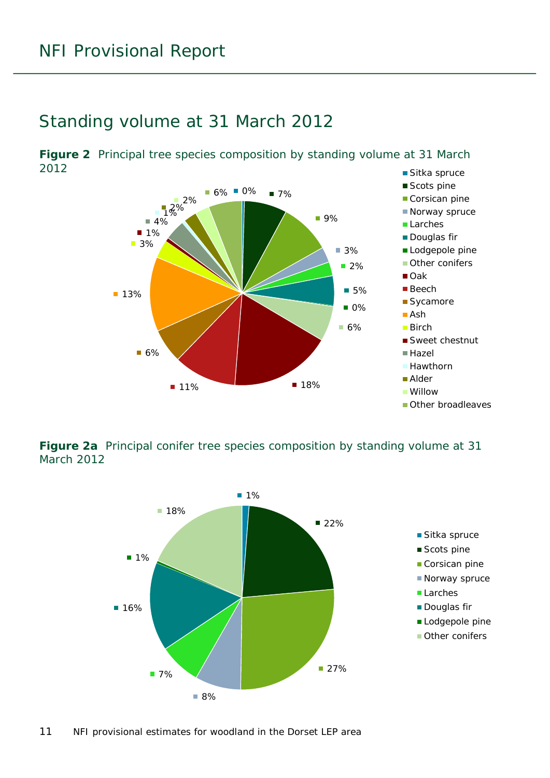#### <span id="page-10-0"></span>Standing volume at 31 March 2012

<span id="page-10-1"></span>■ Sitka spruce **Figure 2** Principal tree species composition by standing volume at 31 March 2012



<span id="page-10-2"></span>**Figure 2a** Principal conifer tree species composition by standing volume at 31 March 2012

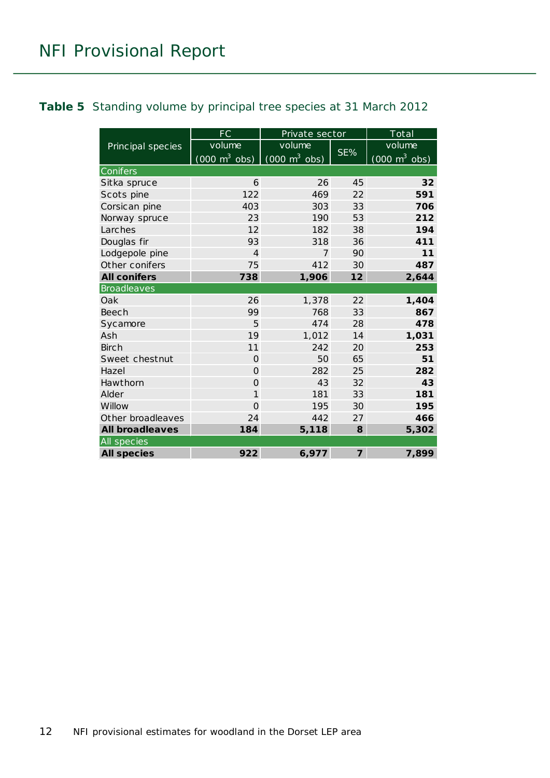#### <span id="page-11-0"></span>**Table 5** Standing volume by principal tree species at 31 March 2012

|                        | <b>FC</b>                             | Private sector                      |                | Total                           |
|------------------------|---------------------------------------|-------------------------------------|----------------|---------------------------------|
| Principal species      | volume                                | volume                              |                | volume                          |
|                        | $(000 \overline{m^3} \overline{obs})$ | $(000 \; \text{m}^3 \; \text{obs})$ | SE%            | $(000 \text{ m}^3 \text{ obs})$ |
| Conifers               |                                       |                                     |                |                                 |
| Sitka spruce           | 6                                     | 26                                  | 45             | 32                              |
| Scots pine             | 122                                   | 469                                 | 22             | 591                             |
| Corsican pine          | 403                                   | 303                                 | 33             | 706                             |
| Norway spruce          | 23                                    | 190                                 | 53             | 212                             |
| Larches                | 12                                    | 182                                 | 38             | 194                             |
| Douglas fir            | 93                                    | 318                                 | 36             | 411                             |
| Lodgepole pine         | $\overline{4}$                        | 7                                   | 90             | 11                              |
| Other conifers         | 75                                    | 412                                 | 30             | 487                             |
| <b>All conifers</b>    | 738                                   | 1,906                               | 12             | 2,644                           |
| <b>Broadleaves</b>     |                                       |                                     |                |                                 |
| Oak                    | 26                                    | 1,378                               | 22             | 1,404                           |
| <b>Beech</b>           | 99                                    | 768                                 | 33             | 867                             |
| Sycamore               | 5                                     | 474                                 | 28             | 478                             |
| Ash                    | 19                                    | 1,012                               | 14             | 1,031                           |
| <b>Birch</b>           | 11                                    | 242                                 | 20             | 253                             |
| Sweet chestnut         | $\Omega$                              | 50                                  | 65             | 51                              |
| Hazel                  | $\Omega$                              | 282                                 | 25             | 282                             |
| Hawthorn               | $\Omega$                              | 43                                  | 32             | 43                              |
| Alder                  | 1                                     | 181                                 | 33             | 181                             |
| Willow                 | $\Omega$                              | 195                                 | 30             | 195                             |
| Other broadleaves      | 24                                    | 442                                 | 27             | 466                             |
| <b>All broadleaves</b> | 184                                   | 5,118                               | 8              | 5,302                           |
| All species            |                                       |                                     |                |                                 |
| <b>All species</b>     | 922                                   | 6,977                               | $\overline{z}$ | 7,899                           |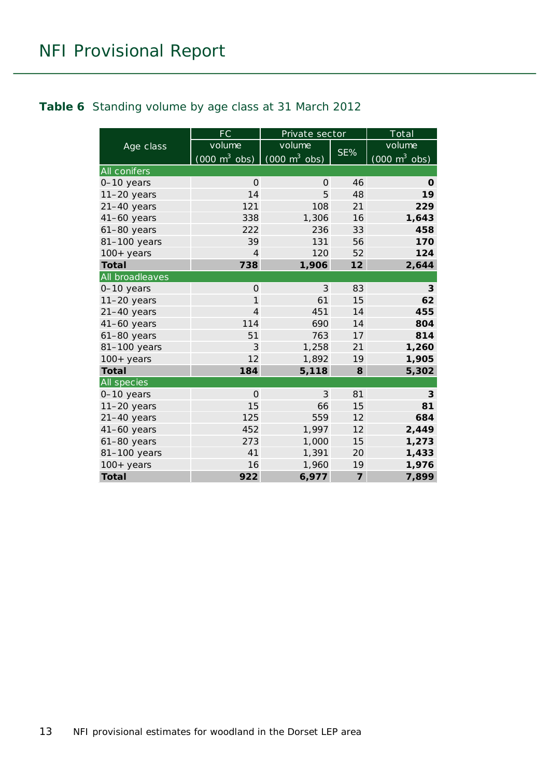#### <span id="page-12-0"></span>**Table 6** Standing volume by age class at 31 March 2012

|                     | <b>FC</b>                       | Private sector                  |                | Total                               |
|---------------------|---------------------------------|---------------------------------|----------------|-------------------------------------|
| Age class           | volume                          | volume                          |                | volume                              |
|                     | $(000 \text{ m}^3 \text{ obs})$ | $(000 \text{ m}^3 \text{ obs})$ | SE%            | $(000 \; \text{m}^3 \; \text{obs})$ |
| <b>All conifers</b> |                                 |                                 |                |                                     |
| 0-10 years          | $\Omega$                        | $\Omega$                        | 46             | O                                   |
| $11-20$ years       | 14                              | 5                               | 48             | 19                                  |
| $21-40$ years       | 121                             | 108                             | 21             | 229                                 |
| $41-60$ years       | 338                             | 1,306                           | 16             | 1,643                               |
| $61-80$ years       | 222                             | 236                             | 33             | 458                                 |
| 81-100 years        | 39                              | 131                             | 56             | 170                                 |
| $100+$ years        | $\overline{4}$                  | 120                             | 52             | 124                                 |
| <b>Total</b>        | 738                             | 1,906                           | 12             | 2,644                               |
| All broadleaves     |                                 |                                 |                |                                     |
| 0-10 years          | $\Omega$                        | 3                               | 83             | 3                                   |
| $11-20$ years       | $\mathbf{1}$                    | 61                              | 15             | 62                                  |
| $21-40$ years       | $\overline{4}$                  | 451                             | 14             | 455                                 |
| $41-60$ years       | 114                             | 690                             | 14             | 804                                 |
| 61-80 years         | 51                              | 763                             | 17             | 814                                 |
| 81-100 years        | 3                               | 1,258                           | 21             | 1,260                               |
| $100+$ years        | 12                              | 1,892                           | 19             | 1,905                               |
| <b>Total</b>        | 184                             | 5,118                           | 8              | 5,302                               |
| All species         |                                 |                                 |                |                                     |
| 0-10 years          | $\Omega$                        | 3                               | 81             | 3                                   |
| $11-20$ years       | 15                              | 66                              | 15             | 81                                  |
| $21-40$ years       | 125                             | 559                             | 12             | 684                                 |
| $41-60$ years       | 452                             | 1,997                           | 12             | 2,449                               |
| $61-80$ years       | 273                             | 1,000                           | 15             | 1,273                               |
| 81-100 years        | 41                              | 1,391                           | 20             | 1,433                               |
| $100+$ years        | 16                              | 1,960                           | 19             | 1,976                               |
| <b>Total</b>        | 922                             | 6,977                           | $\overline{7}$ | 7,899                               |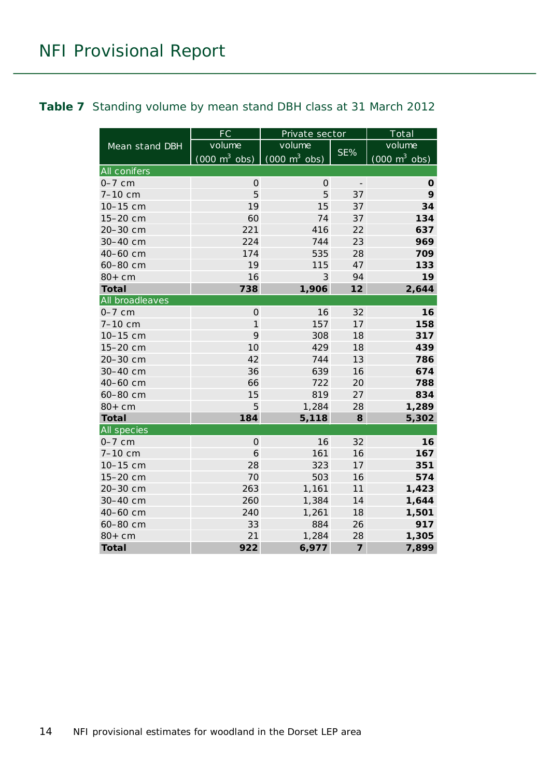#### <span id="page-13-0"></span>**Table 7** Standing volume by mean stand DBH class at 31 March 2012

|                 | <b>FC</b>                       | Private sector                      |                              | Total                           |
|-----------------|---------------------------------|-------------------------------------|------------------------------|---------------------------------|
| Mean stand DBH  | volume                          | volume                              |                              | volume                          |
|                 | $(000 \text{ m}^3 \text{ obs})$ | $(000 \; \text{m}^3 \; \text{obs})$ | SE%                          | $(000 \text{ m}^3 \text{ obs})$ |
| All conifers    |                                 |                                     |                              |                                 |
| $0-7$ cm        | $\mathbf{O}$                    | $\Omega$                            | $\qquad \qquad \blacksquare$ | 0                               |
| 7-10 cm         | 5                               | 5                                   | 37                           | 9                               |
| 10-15 cm        | 19                              | 15                                  | 37                           | 34                              |
| 15-20 cm        | 60                              | 74                                  | 37                           | 134                             |
| 20-30 cm        | 221                             | 416                                 | 22                           | 637                             |
| 30-40 cm        | 224                             | 744                                 | 23                           | 969                             |
| 40-60 cm        | 174                             | 535                                 | 28                           | 709                             |
| 60-80 cm        | 19                              | 115                                 | 47                           | 133                             |
| $80+cm$         | 16                              | 3                                   | 94                           | 19                              |
| <b>Total</b>    | 738                             | 1,906                               | 12                           | 2,644                           |
| All broadleaves |                                 |                                     |                              |                                 |
| $0-7$ cm        | $\overline{O}$                  | 16                                  | 32                           | 16                              |
| 7-10 cm         | $\mathbf{1}$                    | 157                                 | 17                           | 158                             |
| 10-15 cm        | 9                               | 308                                 | 18                           | 317                             |
| 15-20 cm        | 10                              | 429                                 | 18                           | 439                             |
| 20-30 cm        | 42                              | 744                                 | 13                           | 786                             |
| 30-40 cm        | 36                              | 639                                 | 16                           | 674                             |
| 40-60 cm        | 66                              | 722                                 | 20                           | 788                             |
| 60-80 cm        | 15                              | 819                                 | 27                           | 834                             |
| $80+cm$         | 5                               | 1,284                               | 28                           | 1,289                           |
| <b>Total</b>    | 184                             | 5,118                               | 8                            | 5,302                           |
| All species     |                                 |                                     |                              |                                 |
| $0-7$ cm        | $\mathbf{O}$                    | 16                                  | 32                           | 16                              |
| 7-10 cm         | $\ddot{\mathbf{6}}$             | 161                                 | 16                           | 167                             |
| 10-15 cm        | 28                              | 323                                 | 17                           | 351                             |
| 15-20 cm        | 70                              | 503                                 | 16                           | 574                             |
| 20-30 cm        | 263                             | 1,161                               | 11                           | 1,423                           |
| 30-40 cm        | 260                             | 1,384                               | 14                           | 1,644                           |
| 40-60 cm        | 240                             | 1,261                               | 18                           | 1,501                           |
| 60-80 cm        | 33                              | 884                                 | 26                           | 917                             |
| $80+cm$         | 21                              | 1,284                               | 28                           | 1,305                           |
| <b>Total</b>    | 922                             | 6,977                               | $\overline{7}$               | 7,899                           |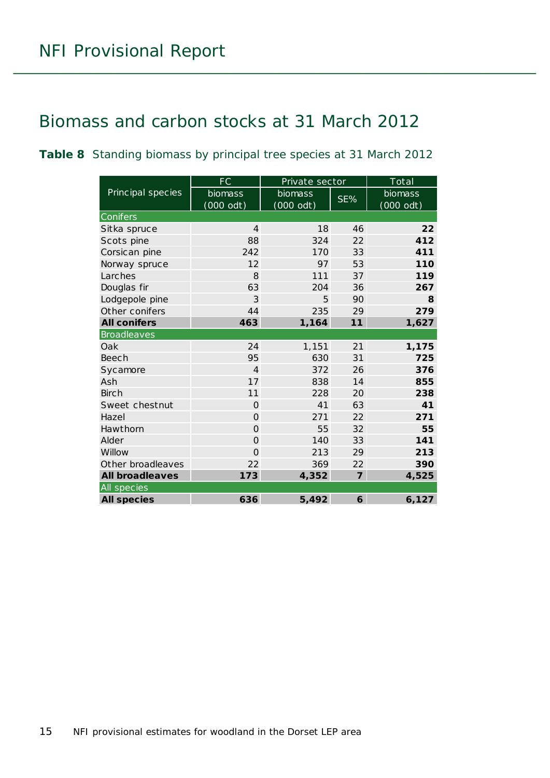### <span id="page-14-0"></span>Biomass and carbon stocks at 31 March 2012

<span id="page-14-1"></span>**Table 8** Standing biomass by principal tree species at 31 March 2012

|                        | FC             | Private sector |                | Total       |  |  |
|------------------------|----------------|----------------|----------------|-------------|--|--|
| Principal species      | biomass        | <b>biomass</b> | SE%            | biomass     |  |  |
|                        | (000 odt)      | $(000$ odt)    |                | $(000$ odt) |  |  |
| Conifers               |                |                |                |             |  |  |
| Sitka spruce           | $\overline{4}$ | 18             | 46             | 22          |  |  |
| Scots pine             | 88             | 324            | 22             | 412         |  |  |
| Corsican pine          | 242            | 170            | 33             | 411         |  |  |
| Norway spruce          | 12             | 97             | 53             | 110         |  |  |
| Larches                | 8              | 111            | 37             | 119         |  |  |
| Douglas fir            | 63             | 204            | 36             | 267         |  |  |
| Lodgepole pine         | 3              | 5              | 90             | 8           |  |  |
| Other conifers         | 44             | 235            | 29             | 279         |  |  |
| <b>All conifers</b>    | 463            | 1,164          | 11             | 1,627       |  |  |
| <b>Broadleaves</b>     |                |                |                |             |  |  |
| Oak                    | 24             | 1,151          | 21             | 1,175       |  |  |
| <b>Beech</b>           | 95             | 630            | 31             | 725         |  |  |
| Sycamore               | $\overline{4}$ | 372            | 26             | 376         |  |  |
| Ash                    | 17             | 838            | 14             | 855         |  |  |
| <b>Birch</b>           | 11             | 228            | 20             | 238         |  |  |
| Sweet chestnut         | $\Omega$       | 41             | 63             | 41          |  |  |
| Hazel                  | $\Omega$       | 271            | 22             | 271         |  |  |
| Hawthorn               | $\Omega$       | 55             | 32             | 55          |  |  |
| Alder                  | $\Omega$       | 140            | 33             | 141         |  |  |
| Willow                 | $\overline{O}$ | 213            | 29             | 213         |  |  |
| Other broadleaves      | 22             | 369            | 22             | 390         |  |  |
| <b>All broadleaves</b> | 173            | 4,352          | $\overline{7}$ | 4,525       |  |  |
| All species            |                |                |                |             |  |  |
| <b>All species</b>     | 636            | 5,492          | 6              | 6,127       |  |  |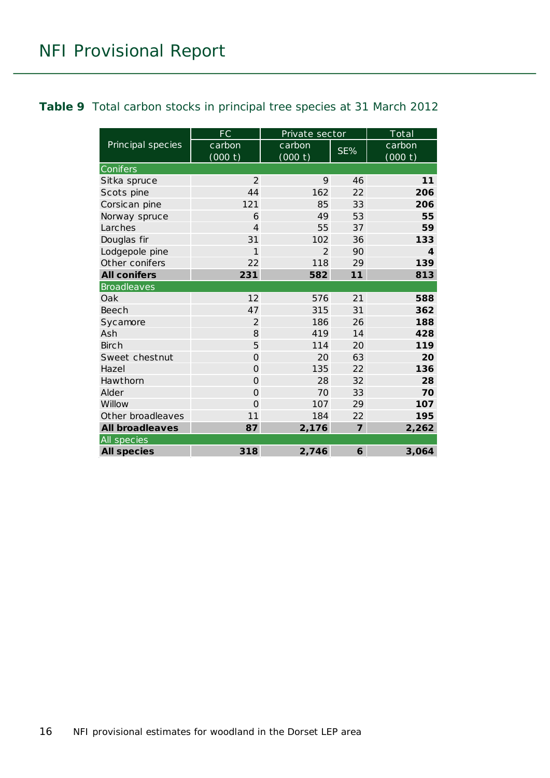#### <span id="page-15-0"></span>**Table 9** Total carbon stocks in principal tree species at 31 March 2012

|                        | FC             | Private sector |                | Total            |  |  |
|------------------------|----------------|----------------|----------------|------------------|--|--|
| Principal species      | carbon         | carbon         | SE%            | carbon           |  |  |
|                        | (000 t)        | (000 t)        |                | (000 t)          |  |  |
| Conifers               |                |                |                |                  |  |  |
| Sitka spruce           | $\overline{2}$ | 9              | 46             | 11               |  |  |
| Scots pine             | 44             | 162            | 22             | 206              |  |  |
| Corsican pine          | 121            | 85             | 33             | 206              |  |  |
| Norway spruce          | 6              | 49             | 53             | 55               |  |  |
| Larches                | $\overline{4}$ | 55             | 37             | 59               |  |  |
| Douglas fir            | 31             | 102            | 36             | 133              |  |  |
| Lodgepole pine         | 1              | $\overline{2}$ | 90             | $\boldsymbol{4}$ |  |  |
| Other conifers         | 22             | 118            | 29             | 139              |  |  |
| <b>All conifers</b>    | 231            | 582            | 11             | 813              |  |  |
| <b>Broadleaves</b>     |                |                |                |                  |  |  |
| Oak                    | 12             | 576            | 21             | 588              |  |  |
| Beech                  | 47             | 315            | 31             | 362              |  |  |
| Sycamore               | 2              | 186            | 26             | 188              |  |  |
| Ash                    | 8              | 419            | 14             | 428              |  |  |
| <b>Birch</b>           | 5              | 114            | 20             | 119              |  |  |
| Sweet chestnut         | $\Omega$       | 20             | 63             | 20               |  |  |
| Hazel                  | $\Omega$       | 135            | 22             | 136              |  |  |
| Hawthorn               | $\Omega$       | 28             | 32             | 28               |  |  |
| Alder                  | $\Omega$       | 70             | 33             | 70               |  |  |
| Willow                 | $\overline{0}$ | 107            | 29             | 107              |  |  |
| Other broadleaves      | 11             | 184            | 22             | 195              |  |  |
| <b>All broadleaves</b> | 87             | 2,176          | $\overline{7}$ | 2,262            |  |  |
| All species            |                |                |                |                  |  |  |
| <b>All species</b>     | 318            | 2,746          | 6              | 3,064            |  |  |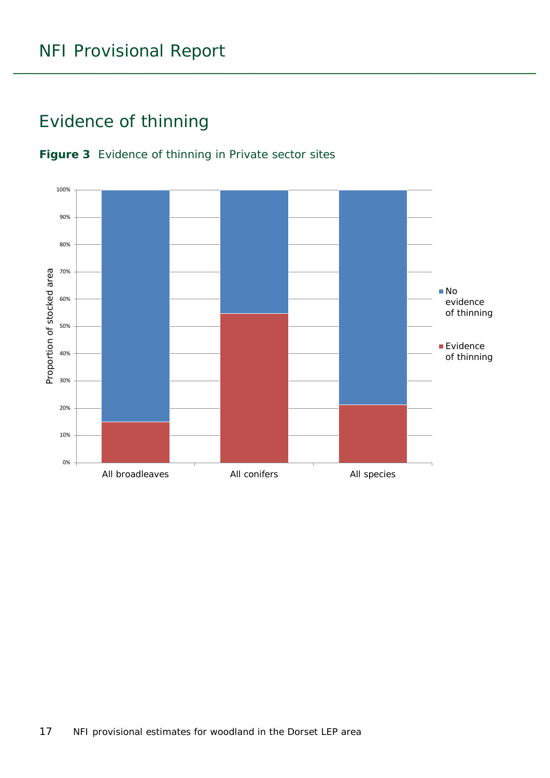### <span id="page-16-0"></span>Evidence of thinning

<span id="page-16-1"></span>

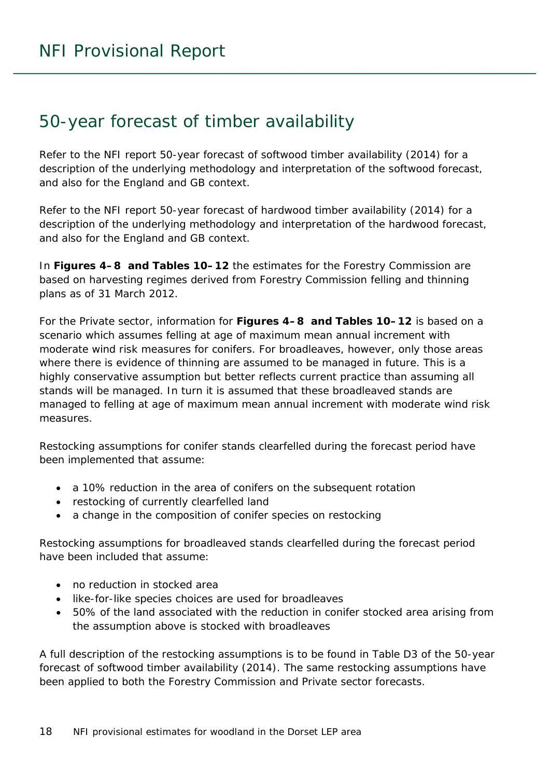### <span id="page-17-0"></span>50-year forecast of timber availability

Refer to the NFI report *50-year forecast of softwood timber availability* (2014) for a description of the underlying methodology and interpretation of the softwood forecast, and also for the England and GB context.

Refer to the NFI report *50-year forecast of hardwood timber availability* (2014) for a description of the underlying methodology and interpretation of the hardwood forecast, and also for the England and GB context.

In **Figures 4–8 and Tables 10–12** the estimates for the Forestry Commission are based on harvesting regimes derived from Forestry Commission felling and thinning plans as of 31 March 2012.

For the Private sector, information for **Figures 4–8 and Tables 10–12** is based on a scenario which assumes felling at age of maximum mean annual increment with moderate wind risk measures for conifers. For broadleaves, however, only those areas where there is evidence of thinning are assumed to be managed in future. This is a highly conservative assumption but better reflects current practice than assuming all stands will be managed. In turn it is assumed that these broadleaved stands are managed to felling at age of maximum mean annual increment with moderate wind risk measures.

Restocking assumptions for conifer stands clearfelled during the forecast period have been implemented that assume:

- a 10% reduction in the area of conifers on the subsequent rotation
- restocking of currently clearfelled land
- a change in the composition of conifer species on restocking

Restocking assumptions for broadleaved stands clearfelled during the forecast period have been included that assume:

- no reduction in stocked area
- like-for-like species choices are used for broadleaves
- 50% of the land associated with the reduction in conifer stocked area arising from the assumption above is stocked with broadleaves

A full description of the restocking assumptions is to be found in Table D3 of the *50-year forecast of softwood timber availability* (2014). The same restocking assumptions have been applied to both the Forestry Commission and Private sector forecasts.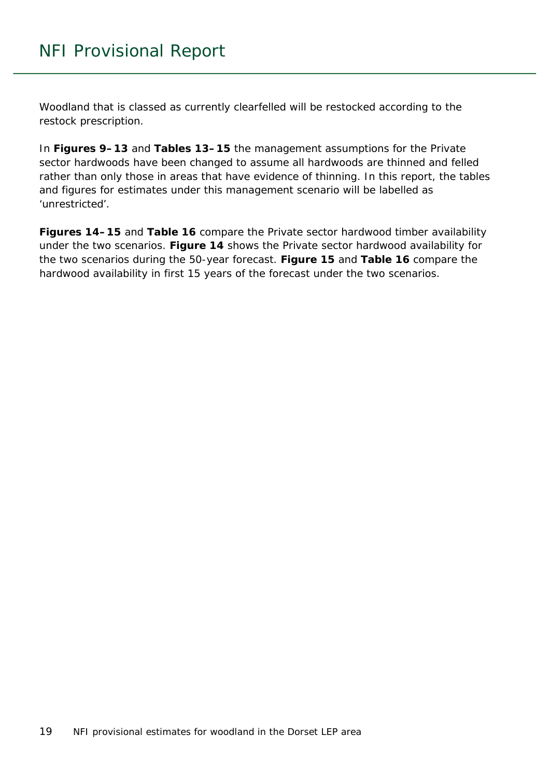Woodland that is classed as currently clearfelled will be restocked according to the restock prescription.

In **Figures 9–13** and **Tables 13–15** the management assumptions for the Private sector hardwoods have been changed to assume all hardwoods are thinned and felled rather than only those in areas that have evidence of thinning. In this report, the tables and figures for estimates under this management scenario will be labelled as 'unrestricted'.

**Figures 14–15** and **Table 16** compare the Private sector hardwood timber availability under the two scenarios. **Figure 14** shows the Private sector hardwood availability for the two scenarios during the 50-year forecast. **Figure 15** and **Table 16** compare the hardwood availability in first 15 years of the forecast under the two scenarios.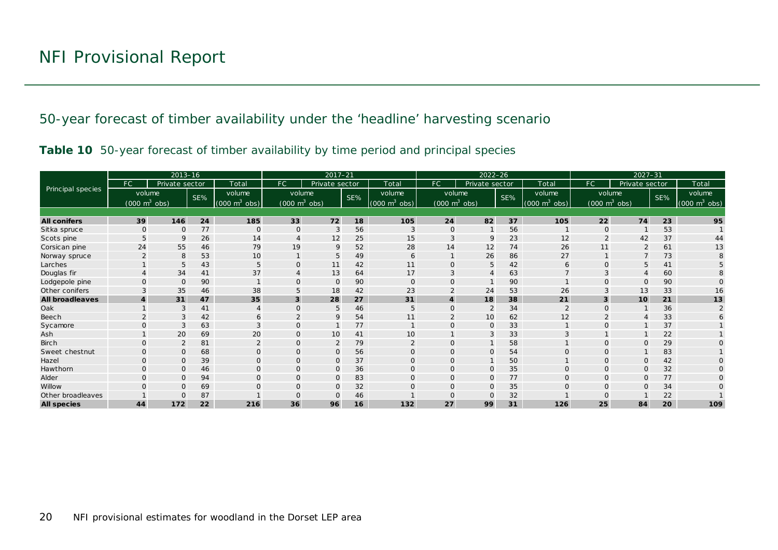50-year forecast of timber availability under the 'headline' harvesting scenario

|  |  | Table 10 50-year forecast of timber availability by time period and principal species |  |  |
|--|--|---------------------------------------------------------------------------------------|--|--|
|  |  |                                                                                       |  |  |

<span id="page-19-1"></span><span id="page-19-0"></span>

| $2013 - 16$            |                                 |                |     |                               | $2017 - 21$                     |                |     |                             | $2022 - 26$                     |                |     |                                 | $2027 - 31$                     |                 |     |                                 |
|------------------------|---------------------------------|----------------|-----|-------------------------------|---------------------------------|----------------|-----|-----------------------------|---------------------------------|----------------|-----|---------------------------------|---------------------------------|-----------------|-----|---------------------------------|
|                        | FC.                             | Private sector |     | Total                         | FC                              | Private sector |     | Total                       | FC.                             | Private sector |     | Total                           | FC                              | Private sector  |     | Total                           |
| Principal species      |                                 | volume         | SE% | volume                        | volume                          |                | SE% | volume                      | volume                          |                | SE% | volume                          | volume                          |                 | SE% | volume                          |
|                        | $(000 \text{ m}^3 \text{ obs})$ |                |     | $(000 \; \text{m}^3)$<br>obs) | $(000 \text{ m}^3 \text{ obs})$ |                |     | $(000 \text{ m}^3)$<br>obs) | $(000 \text{ m}^3 \text{ obs})$ |                |     | $(000 \text{ m}^3 \text{ obs})$ | $(000 \text{ m}^3 \text{ obs})$ |                 |     | $(000 \text{ m}^3 \text{ obs})$ |
|                        |                                 |                |     |                               |                                 |                |     |                             |                                 |                |     |                                 |                                 |                 |     |                                 |
| <b>All conifers</b>    | 39                              | 146            | 24  | 185                           | 33                              | 72             | 18  | 105                         | 24                              | 82             | 37  | 105                             | 22                              | 74              | 23  | 95                              |
| Sitka spruce           | $\mathbf{O}$                    | $\mathbf 0$    | 77  | $\overline{0}$                | $\Omega$                        | 3              | 56  | 3                           | $\mathbf{O}$                    |                | 56  |                                 | $\overline{0}$                  |                 | 53  |                                 |
| Scots pine             |                                 | 9              | 26  | 14                            | $\overline{4}$                  | 12             | 25  | 15                          | 3                               | 9              | 23  | 12                              |                                 | 42              | 37  | 44                              |
| Corsican pine          | 24                              | 55             | 46  | 79                            | 19                              | 9              | 52  | 28                          | 14                              | 12             | 74  | 26                              | 11                              |                 | 61  | 13                              |
| Norway spruce          |                                 | 8              | 53  | 10                            |                                 | 5              | 49  | 6                           |                                 | 26             | 86  | 27                              |                                 |                 | 73  |                                 |
| Larches                |                                 | 5              | 43  | 5                             | $\Omega$                        | 11             | 42  | 11                          | $\Omega$                        | 5              | 42  | 6                               | $\Omega$                        | 5               | 41  |                                 |
| Douglas fir            |                                 | 34             | 41  | 37                            |                                 | 13             | 64  | 17                          |                                 | $\overline{4}$ | 63  |                                 |                                 |                 | 60  |                                 |
| Lodgepole pine         | $\Omega$                        | $\Omega$       | 90  |                               | $\Omega$                        | $\mathbf{O}$   | 90  | $\Omega$                    | O                               |                | 90  |                                 | $\Omega$                        |                 | 90  |                                 |
| Other conifers         |                                 | 35             | 46  | 38                            | 5                               | 18             | 42  | 23                          |                                 | 24             | 53  | 26                              | 3                               | 13              | 33  | 16                              |
| <b>All broadleaves</b> |                                 | 31             | 47  | 35                            | 3                               | 28             | 27  | 31                          | $\overline{4}$                  | 18             | 38  | 21                              | 3                               | 10 <sup>1</sup> | 21  | 13                              |
| Oak                    |                                 | 3              | 41  |                               | $\Omega$                        | 5              | 46  | 5                           | $\Omega$                        | $\overline{2}$ | 34  |                                 | $\Omega$                        |                 | 36  |                                 |
| Beech                  |                                 | 3              | 42  | 6                             |                                 | 9              | 54  | 11                          |                                 | 10             | 62  | 12                              |                                 |                 | 33  |                                 |
| Sycamore               | $\Omega$                        | 3              | 63  | 3                             | $\mathbf{O}$                    | $\mathbf{1}$   | 77  | $\mathbf{1}$                | $\Omega$                        | $\mathbf 0$    | 33  |                                 | $\Omega$                        |                 | 37  |                                 |
| Ash                    |                                 | 20             | 69  | 20                            | $\mathbf 0$                     | 10             | 41  | 10                          |                                 | 3              | 33  |                                 |                                 |                 | 22  |                                 |
| <b>Birch</b>           | $\Omega$                        | 2              | 81  |                               | $\mathbf{O}$                    | 2              | 79  |                             | $\Omega$                        |                | 58  |                                 | $\Omega$                        |                 | 29  |                                 |
| Sweet chestnut         | $\Omega$                        | $\Omega$       | 68  | $\Omega$                      | $\mathbf{O}$                    | $\mathbf 0$    | 56  | $\Omega$                    |                                 | $\Omega$       | 54  |                                 | $\Omega$                        |                 | 83  |                                 |
| Hazel                  | $\Omega$                        | $\Omega$       | 39  | $\Omega$                      | $\mathbf{O}$                    | $\mathbf{O}$   | 37  | $\Omega$                    | $\Omega$                        |                | 50  |                                 | $\Omega$                        |                 | 42  | $\Omega$                        |
| Hawthorn               | $\mathbf{O}$                    | $\mathbf{O}$   | 46  | $\mathbf{O}$                  | $\mathbf 0$                     | $\mathsf{O}$   | 36  | $\mathbf{O}$                | 0                               | $\mathbf{O}$   | 35  |                                 | $\Omega$                        | O               | 32  |                                 |
| Alder                  | $\Omega$                        | $\Omega$       | 94  | $\Omega$                      | $\Omega$                        | $\mathbf{O}$   | 83  | $\Omega$                    | $\Omega$                        | $\Omega$       | 77  |                                 | $\Omega$                        |                 | 77  |                                 |
| Willow                 |                                 | $\Omega$       | 69  | $\Omega$                      | $\Omega$                        | $\mathbf{O}$   | 32  | $\Omega$                    | $\Omega$                        | $\mathbf{O}$   | 35  |                                 | $\Omega$                        |                 | 34  |                                 |
| Other broadleaves      |                                 | $\Omega$       | 87  |                               | $\Omega$                        | $\mathbf{O}$   | 46  |                             |                                 | $\mathbf{0}$   | 32  |                                 | C                               |                 | 22  |                                 |
| <b>All species</b>     | 44                              | 172            | 22  | 216                           | 36                              | 96             | 16  | 132                         | 27                              | 99             | 31  | 126                             | 25                              | 84              | 20  | 109                             |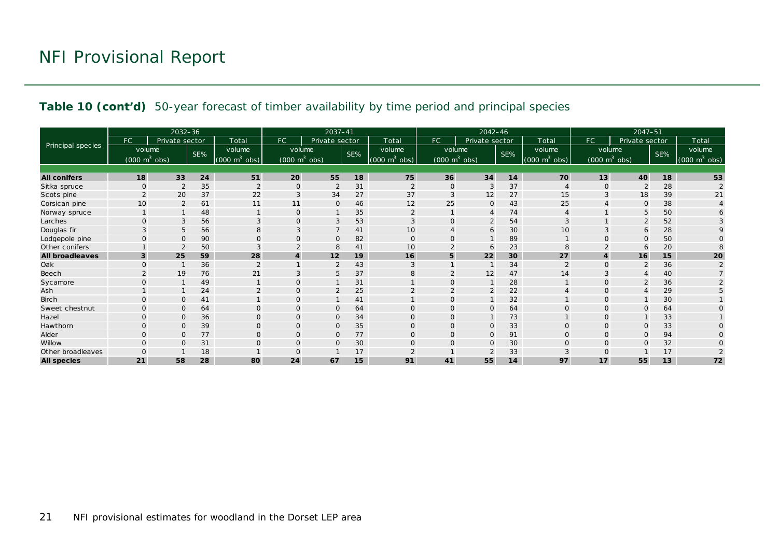#### **Table 10 (cont'd)** 50-year forecast of timber availability by time period and principal species

|                        | 2032-36                         |                |     |                                 | $2037 - 41$                     |                |     | 2042-46                         |                                 |                |     | $2047 - 51$                               |                                     |                |     |                                 |
|------------------------|---------------------------------|----------------|-----|---------------------------------|---------------------------------|----------------|-----|---------------------------------|---------------------------------|----------------|-----|-------------------------------------------|-------------------------------------|----------------|-----|---------------------------------|
|                        | FC.                             | Private sector |     | Total                           | FC.                             | Private sector |     | Total                           | FC.                             | Private sector |     | Total                                     | <b>FC</b>                           | Private sector |     | Total                           |
| Principal species      | volume                          |                | SE% | volume                          | volume                          |                | SE% | volume                          | volume                          |                | SE% | volume                                    | volume                              |                | SE% | volume                          |
|                        | $(000 \text{ m}^3 \text{ obs})$ |                |     | $(000 \text{ m}^3 \text{ obs})$ | $(000 \text{ m}^3 \text{ obs})$ |                |     | $(000 \text{ m}^3 \text{ obs})$ | $(000 \text{ m}^3 \text{ obs})$ |                |     | $(000 \text{ m}^3)$<br>$\frac{3}{2}$ obs) | $(000 \; \text{m}^3 \; \text{obs})$ |                |     | $(000 \text{ m}^3 \text{ obs})$ |
|                        |                                 |                |     |                                 |                                 |                |     |                                 |                                 |                |     |                                           |                                     |                |     |                                 |
| <b>All conifers</b>    | 18                              | 33             | 24  | 51                              | 20                              | 55             | 18  | 75                              | 36                              | 34             | 14  | 70                                        | 13                                  | 40             | 18  | 53                              |
| Sitka spruce           | $\Omega$                        |                | 35  | $\overline{2}$                  | $\overline{0}$                  | $\overline{2}$ | 31  | 2                               | $\Omega$                        | 3              | 37  |                                           | $\mathbf 0$                         |                | 28  |                                 |
| Scots pine             | $\overline{2}$                  | 20             | 37  | 22                              | 3                               | 34             | 27  | 37                              | 3                               | 12             | 27  | 15                                        |                                     | 18             | 39  | 21                              |
| Corsican pine          | 10                              | 2              | 61  | 11                              | 11                              | $\mathbf 0$    | 46  | 12                              | 25                              | 0              | 43  | 25                                        |                                     | $\Omega$       | 38  |                                 |
| Norway spruce          |                                 |                | 48  |                                 | $\Omega$                        |                | 35  |                                 |                                 | $\overline{4}$ | 74  |                                           |                                     |                | 50  |                                 |
| Larches                | $\Omega$                        | 3              | 56  |                                 | $\mathbf 0$                     | 3              | 53  | 3                               |                                 | 2              | 54  |                                           |                                     |                | 52  |                                 |
| Douglas fir            |                                 | 5              | 56  | 8                               | 3                               | $\overline{7}$ | 41  | 10                              |                                 | 6              | 30  | 10                                        |                                     |                | 28  |                                 |
| Lodgepole pine         |                                 | $\Omega$       | 90  | $\Omega$                        | $\Omega$                        | $\mathbf{O}$   | 82  | $\mathbf{O}$                    |                                 |                | 89  |                                           |                                     |                | 50  |                                 |
| Other conifers         |                                 | $\overline{2}$ | 50  |                                 | $\overline{2}$                  | 8              | 41  | 10                              |                                 | 6              | 23  |                                           |                                     | 6              | 20  |                                 |
| <b>All broadleaves</b> | 3                               | 25             | 59  | 28                              | 4                               | 12             | 19  | 16                              | 5                               | 22             | 30  | 27                                        | 4                                   | 16             | 15  | 20                              |
| Oak                    | $\mathbf{O}$                    |                | 36  |                                 |                                 | 2              | 43  | 3                               |                                 | $\mathbf{1}$   | 34  |                                           | $\mathbf{O}$                        |                | 36  | $\overline{2}$                  |
| <b>Beech</b>           |                                 | 19             | 76  | 21                              | 3                               | 5              | 37  | 8                               |                                 | 12             | 47  | 14                                        |                                     |                | 40  |                                 |
| Sycamore               |                                 |                | 49  |                                 | $\overline{0}$                  |                | 31  |                                 |                                 |                | 28  |                                           |                                     |                | 36  |                                 |
| Ash                    |                                 |                | 24  |                                 | $\mathbf 0$                     | $\overline{2}$ | 25  | $\overline{2}$                  | $\mathcal{P}$                   | 2              | 22  |                                           | $\Omega$                            |                | 29  |                                 |
| <b>Birch</b>           | $\mathbf{O}$                    | $\mathbf{O}$   | 41  |                                 | 0                               |                | 41  |                                 | $\Omega$                        |                | 32  |                                           | O                                   |                | 30  |                                 |
| Sweet chestnut         | $\Omega$                        | $\Omega$       | 64  |                                 | $\Omega$                        | $\mathbf{O}$   | 64  | $\Omega$                        | $\Omega$                        | $\Omega$       | 64  | $\Omega$                                  | $\Omega$                            |                | 64  |                                 |
| Hazel                  | $\Omega$                        | $\Omega$       | 36  | $\mathbf{O}$                    | $\overline{0}$                  | $\Omega$       | 34  | $\overline{0}$                  |                                 |                | 73  |                                           |                                     |                | 33  |                                 |
| Hawthorn               | $\Omega$                        | $\Omega$       | 39  | $\mathbf{O}$                    | $\mathbf{O}$                    | 0              | 35  | $\Omega$                        | $\Omega$                        | $\mathbf 0$    | 33  | $\mathbf{O}$                              | $\Omega$                            |                | 33  |                                 |
| Alder                  | $\Omega$                        | $\Omega$       | 77  | $\Omega$                        | $\Omega$                        | $\mathbf{O}$   | 77  | $\mathbf 0$                     | $\Omega$                        | $\mathbf{O}$   | 91  | $\Omega$                                  | $\Omega$                            |                | 94  |                                 |
| Willow                 |                                 | $\Omega$       | 31  |                                 | $\mathbf{O}$                    | $\Omega$       | 30  | $\Omega$                        |                                 | $\Omega$       | 30  | $\Omega$                                  | $\Omega$                            |                | 32  |                                 |
| Other broadleaves      |                                 |                | 18  |                                 | $\Omega$                        |                | 17  | $\Omega$                        |                                 | $\overline{2}$ | 33  |                                           |                                     |                | 17  |                                 |
| <b>All species</b>     | 21                              | 58             | 28  | 80                              | 24                              | 67             | 15  | 91                              | 41                              | 55             | 14  | 97                                        | 17                                  | 55             | 13  | 72                              |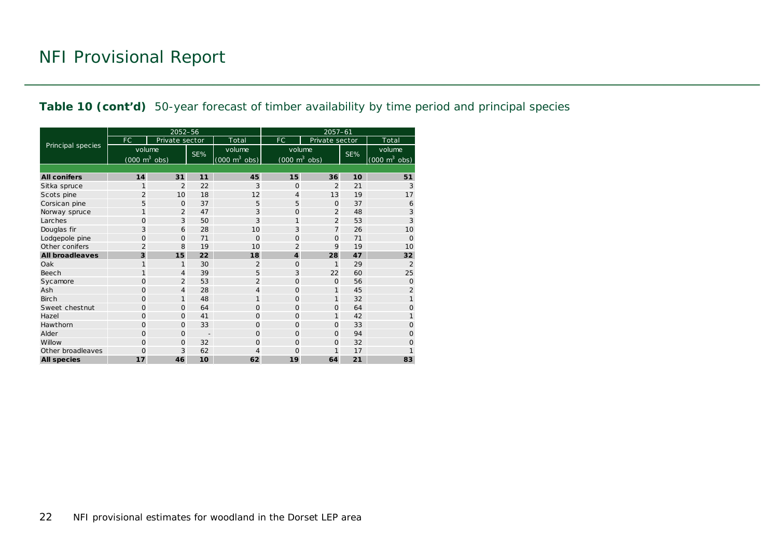#### **Table 10 (cont'd)** 50-year forecast of timber availability by time period and principal species

|                        |                                     | 2052-56        |     |                                 | $2057 - 61$                     |                |     |                                 |  |  |
|------------------------|-------------------------------------|----------------|-----|---------------------------------|---------------------------------|----------------|-----|---------------------------------|--|--|
|                        | <b>FC</b>                           | Private sector |     | Total                           | FC.                             | Private sector |     | Total                           |  |  |
| Principal species      | volume                              |                | SE% | volume                          | volume                          |                | SE% | volume                          |  |  |
|                        | $(000 \; \text{m}^3 \; \text{obs})$ |                |     | $(000 \text{ m}^3 \text{ obs})$ | $(000 \text{ m}^3 \text{ obs})$ |                |     | $(000 \text{ m}^3 \text{ obs})$ |  |  |
|                        |                                     |                |     |                                 |                                 |                |     |                                 |  |  |
| <b>All conifers</b>    | 14                                  | 31             | 11  | 45                              | 15                              | 36             | 10  | 51                              |  |  |
| Sitka spruce           | 1                                   | $\overline{2}$ | 22  | 3                               | $\Omega$                        | $\overline{2}$ | 21  | 3                               |  |  |
| Scots pine             | $\overline{2}$                      | 10             | 18  | 12                              | $\overline{4}$                  | 13             | 19  | 17                              |  |  |
| Corsican pine          | 5                                   | $\Omega$       | 37  | 5                               | 5                               | $\Omega$       | 37  | 6                               |  |  |
| Norway spruce          | $\mathbf{1}$                        | $\overline{2}$ | 47  | 3                               | $\Omega$                        | $\overline{2}$ | 48  | 3                               |  |  |
| Larches                | $\Omega$                            | 3              | 50  | 3                               | $\mathbf{1}$                    | $\overline{2}$ | 53  | 3                               |  |  |
| Douglas fir            | 3                                   | 6              | 28  | 10                              | 3                               | $\overline{7}$ | 26  | 10                              |  |  |
| Lodgepole pine         | 0                                   | $\Omega$       | 71  | $\Omega$                        | $\Omega$                        | $\Omega$       | 71  | $\Omega$                        |  |  |
| Other conifers         | $\overline{2}$                      | 8              | 19  | 10                              | $\overline{2}$                  | 9              | 19  | 10                              |  |  |
| <b>All broadleaves</b> | 3                                   | 15             | 22  | 18                              | $\overline{\mathbf{4}}$         | 28             | 47  | 32                              |  |  |
| Oak                    | 1                                   | 1              | 30  | $\overline{2}$                  | $\Omega$                        | 1              | 29  | $\overline{2}$                  |  |  |
| Beech                  | $\mathbf{1}$                        | $\overline{4}$ | 39  | 5                               | 3                               | 22             | 60  | 25                              |  |  |
| Sycamore               | $\Omega$                            | $\overline{2}$ | 53  | $\overline{2}$                  | $\Omega$                        | $\Omega$       | 56  | $\Omega$                        |  |  |
| Ash                    | $\circ$                             | 4              | 28  | 4                               | $\Omega$                        | $\mathbf{1}$   | 45  | $\overline{2}$                  |  |  |
| <b>Birch</b>           | $\Omega$                            | $\mathbf{1}$   | 48  | 1                               | $\mathbf{O}$                    | $\mathbf{1}$   | 32  | 1                               |  |  |
| Sweet chestnut         | $\circ$                             | $\Omega$       | 64  | $\Omega$                        | $\Omega$                        | $\Omega$       | 64  | $\Omega$                        |  |  |
| Hazel                  | $\overline{O}$                      | $\Omega$       | 41  | $\Omega$                        | $\Omega$                        | $\mathbf{1}$   | 42  | $\mathbf{1}$                    |  |  |
| Hawthorn               | $\Omega$                            | $\Omega$       | 33  | $\Omega$                        | $\Omega$                        | $\Omega$       | 33  | $\Omega$                        |  |  |
| Alder                  | $\Omega$                            | $\Omega$       |     | $\Omega$                        | $\Omega$                        | $\Omega$       | 94  | $\Omega$                        |  |  |
| Willow                 | $\Omega$                            | $\Omega$       | 32  | $\Omega$                        | $\Omega$                        | $\Omega$       | 32  | $\Omega$                        |  |  |
| Other broadleaves      | $\Omega$                            | 3              | 62  | 4                               | $\Omega$                        | 1              | 17  |                                 |  |  |
| <b>All species</b>     | 17                                  | 46             | 10  | 62                              | 19                              | 64             | 21  | 83                              |  |  |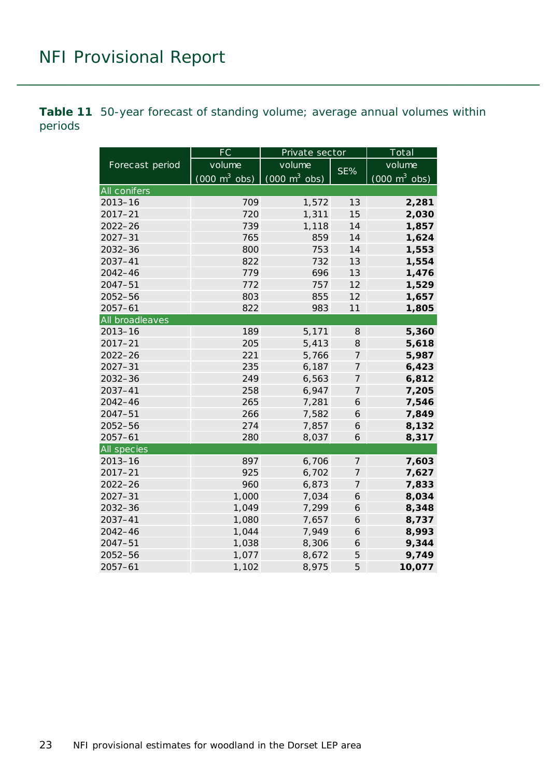<span id="page-22-0"></span>**Table 11** 50-year forecast of standing volume; average annual volumes within periods

|                 | <b>FC</b>                       | Private sector                  |                | Total                           |  |  |
|-----------------|---------------------------------|---------------------------------|----------------|---------------------------------|--|--|
| Forecast period | volume                          | volume                          | SE%            | volume                          |  |  |
|                 | $(000 \text{ m}^3 \text{ obs})$ | $(000 \text{ m}^3 \text{ obs})$ |                | $(000 \text{ m}^3 \text{ obs})$ |  |  |
| All conifers    |                                 |                                 |                |                                 |  |  |
| $2013 - 16$     | 709                             | 1,572                           | 13             | 2,281                           |  |  |
| $2017 - 21$     | 720                             | 1,311                           | 15             | 2,030                           |  |  |
| $2022 - 26$     | 739                             | 1,118                           | 14             | 1,857                           |  |  |
| $2027 - 31$     | 765                             | 859                             | 14             | 1,624                           |  |  |
| $2032 - 36$     | 800                             | 753                             | 14             | 1,553                           |  |  |
| $2037 - 41$     | 822                             | 732                             | 13             | 1,554                           |  |  |
| $2042 - 46$     | 779                             | 696                             | 13             | 1,476                           |  |  |
| $2047 - 51$     | 772                             | 757                             | 12             | 1,529                           |  |  |
| 2052-56         | 803                             | 855                             | 12             | 1,657                           |  |  |
| $2057 - 61$     | 822                             | 983                             | 11             | 1,805                           |  |  |
| All broadleaves |                                 |                                 |                |                                 |  |  |
| $2013 - 16$     | 189                             | 5,171                           | 8              | 5,360                           |  |  |
| $2017 - 21$     | 205                             | 5,413                           | 8              | 5,618                           |  |  |
| $2022 - 26$     | 221                             | 5,766                           | 7              | 5,987                           |  |  |
| $2027 - 31$     | 235                             | 6,187                           | 7              | 6,423                           |  |  |
| 2032-36         | 249                             | 6,563                           | 7              | 6,812                           |  |  |
| 2037-41         | 258                             | 6,947                           | $\overline{7}$ | 7,205                           |  |  |
| $2042 - 46$     | 265                             | 7,281                           | 6              | 7,546                           |  |  |
| $2047 - 51$     | 266                             | 7,582                           | 6              | 7,849                           |  |  |
| $2052 - 56$     | 274                             | 7,857                           | 6              | 8,132                           |  |  |
| $2057 - 61$     | 280                             | 8,037                           | 6              | 8,317                           |  |  |
| All species     |                                 |                                 |                |                                 |  |  |
| $2013 - 16$     | 897                             | 6,706                           | 7              | 7,603                           |  |  |
| $2017 - 21$     | 925                             | 6,702                           | 7              | 7,627                           |  |  |
| $2022 - 26$     | 960                             | 6,873                           | 7              | 7,833                           |  |  |
| $2027 - 31$     | 1,000                           | 7,034                           | 6              | 8,034                           |  |  |
| $2032 - 36$     | 1,049                           | 7,299                           | 6              | 8,348                           |  |  |
| 2037-41         | 1,080                           | 7,657                           | 6              | 8,737                           |  |  |
| $2042 - 46$     | 1,044                           | 7,949                           | 6              | 8,993                           |  |  |
| $2047 - 51$     | 1,038                           | 8,306                           | 6              | 9,344                           |  |  |
| 2052-56         | 1,077                           | 8,672                           | 5              | 9,749                           |  |  |
| $2057 - 61$     | 1,102                           | 8,975                           | 5              | 10,077                          |  |  |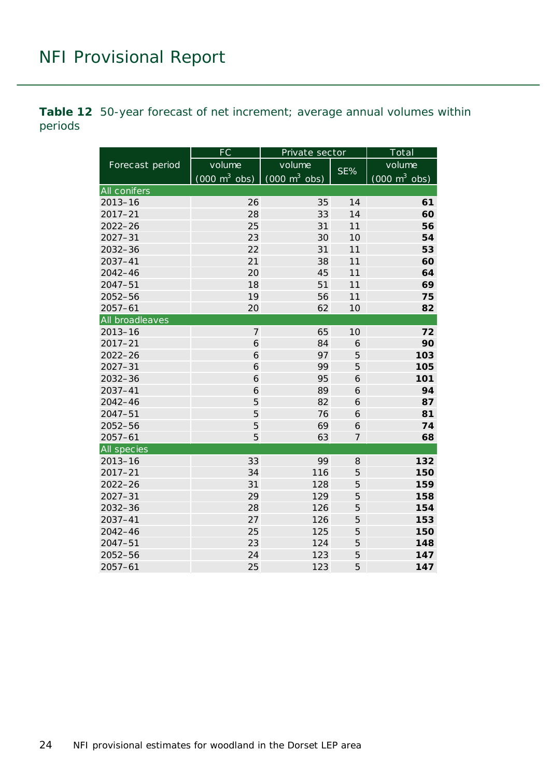<span id="page-23-0"></span>**Table 12** 50-year forecast of net increment; average annual volumes within periods

|                 | <b>FC</b>                       | Private sector                  |            | Total                           |  |  |
|-----------------|---------------------------------|---------------------------------|------------|---------------------------------|--|--|
| Forecast period | volume                          | volume                          |            | volume                          |  |  |
|                 | $(000 \text{ m}^3 \text{ obs})$ | $(000 \text{ m}^3 \text{ obs})$ | SE%        | $(000 \text{ m}^3 \text{ obs})$ |  |  |
| All conifers    |                                 |                                 |            |                                 |  |  |
| $2013 - 16$     | 26                              | 35                              | 14         | 61                              |  |  |
| $2017 - 21$     | 28                              | 33                              | 14         | 60                              |  |  |
| $2022 - 26$     | 25                              | 31                              | 11         | 56                              |  |  |
| $2027 - 31$     | 23                              | 30                              | 10         | 54                              |  |  |
| $2032 - 36$     | 22                              | 31                              | 11         | 53                              |  |  |
| $2037 - 41$     | 21                              | 38                              | 11         | 60                              |  |  |
| $2042 - 46$     | 20                              | 45                              | 11         | 64                              |  |  |
| $2047 - 51$     | 18                              | 51                              | 11         | 69                              |  |  |
| 2052-56         | 19                              | 56                              | 11         | 75                              |  |  |
| $2057 - 61$     | 20                              | 62                              | 10         | 82                              |  |  |
| All broadleaves |                                 |                                 |            |                                 |  |  |
| $2013 - 16$     | $\overline{7}$                  | 65                              | 10         | 72                              |  |  |
| $2017 - 21$     | 6                               | 84                              | 6          | 90                              |  |  |
| $2022 - 26$     | 6                               | 97                              | 5          | 103                             |  |  |
| $2027 - 31$     | 6                               | 99                              | 5          | 105                             |  |  |
| 2032-36         | 6                               | 95                              | 6          | 101                             |  |  |
| $2037 - 41$     | 6                               | 89                              | 6          | 94                              |  |  |
| $2042 - 46$     | 5                               | 82                              | 6          | 87                              |  |  |
| $2047 - 51$     | 5                               | 76                              | 6          | 81                              |  |  |
| $2052 - 56$     | 5                               | 69                              | 6          | 74                              |  |  |
| $2057 - 61$     | 5                               | 63                              | 7          | 68                              |  |  |
| All species     |                                 |                                 |            |                                 |  |  |
| $2013 - 16$     | 33                              | 99                              | 8          | 132                             |  |  |
| $2017 - 21$     | 34                              | 116                             | $\sqrt{5}$ | 150                             |  |  |
| $2022 - 26$     | 31                              | 128                             | $\sqrt{5}$ | 159                             |  |  |
| $2027 - 31$     | 29                              | 129                             | 5          | 158                             |  |  |
| $2032 - 36$     | 28                              | 126                             | 5          | 154                             |  |  |
| 2037-41         | 27                              | 126                             | 5          | 153                             |  |  |
| $2042 - 46$     | 25                              | 125                             | 5          | 150                             |  |  |
| $2047 - 51$     | 23                              | 124                             | 5          | 148                             |  |  |
| 2052-56         | 24                              | 123                             | 5          | 147                             |  |  |
| $2057 - 61$     | 25                              | 123                             | 5          | 147                             |  |  |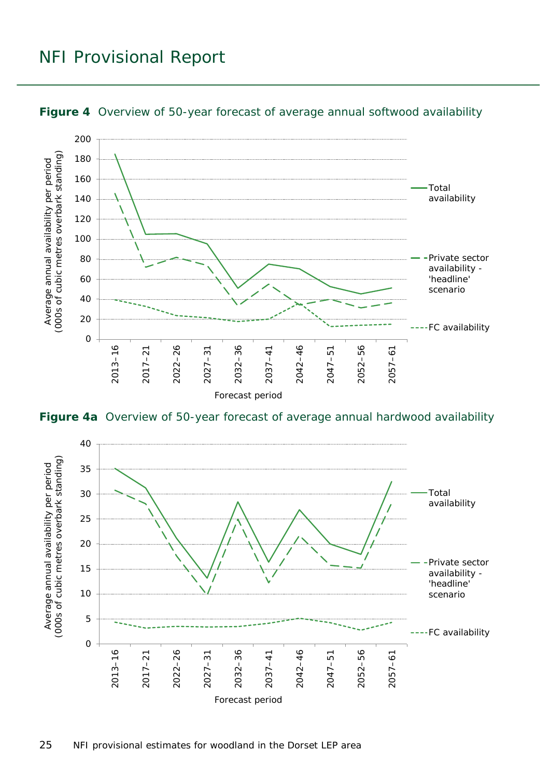

<span id="page-24-0"></span>

<span id="page-24-1"></span>**Figure 4a** Overview of 50-year forecast of average annual hardwood availability

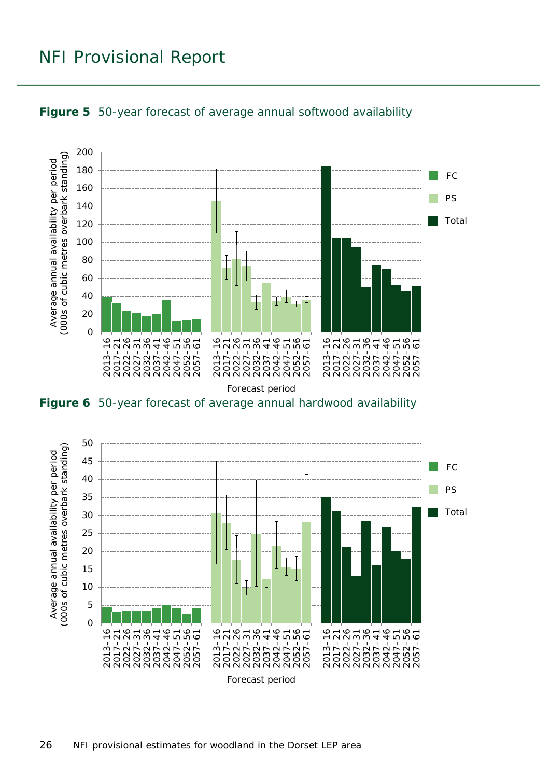

#### <span id="page-25-0"></span>**Figure 5** 50-year forecast of average annual softwood availability

<span id="page-25-1"></span>

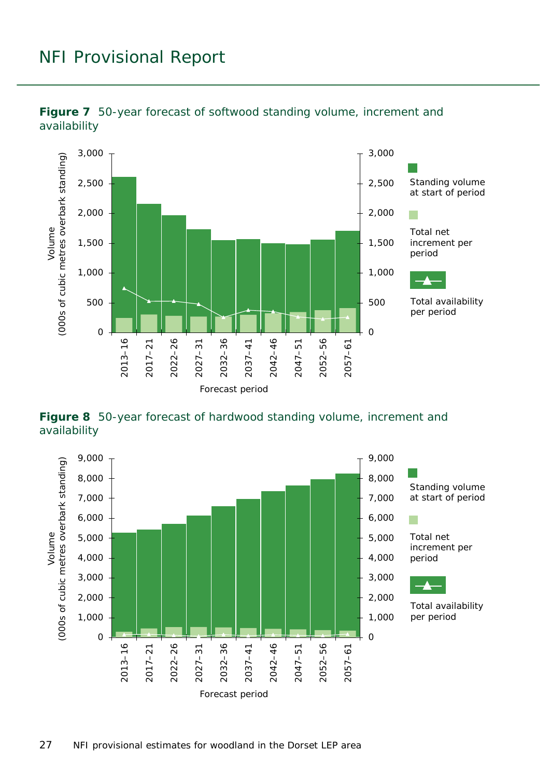

<span id="page-26-0"></span>**Figure 7** 50-year forecast of softwood standing volume, increment and availability

<span id="page-26-1"></span>**Figure 8** 50-year forecast of hardwood standing volume, increment and availability

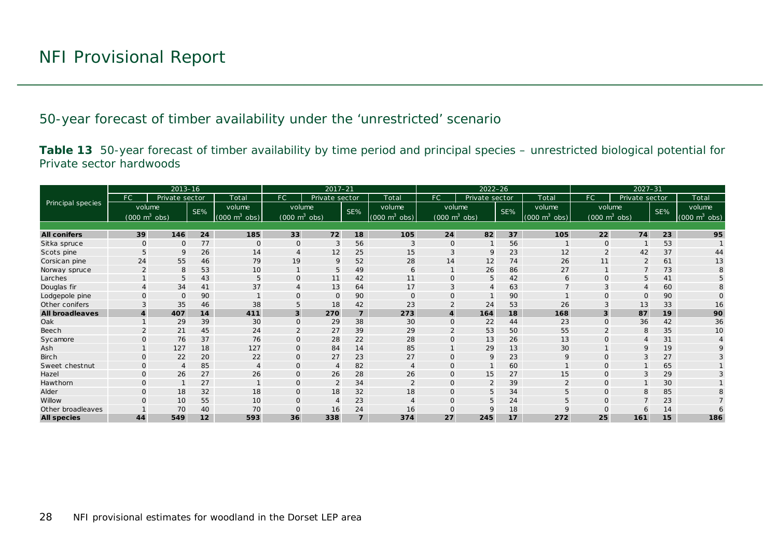50-year forecast of timber availability under the 'unrestricted' scenario

**Table 13** 50-year forecast of timber availability by time period and principal species – unrestricted biological potential for Private sector hardwoods

<span id="page-27-1"></span><span id="page-27-0"></span>

| $2013 - 16$            |                                 |                |     | $2017 - 21$                   |                                 |                |                | $2022 - 26$                         |                                 |                |     | $2027 - 31$                     |          |                                 |     |                                 |
|------------------------|---------------------------------|----------------|-----|-------------------------------|---------------------------------|----------------|----------------|-------------------------------------|---------------------------------|----------------|-----|---------------------------------|----------|---------------------------------|-----|---------------------------------|
|                        | FC                              | Private sector |     | Total                         | <b>FC</b>                       | Private sector |                | Total                               | FC.                             | Private sector |     | Total                           | FC.      | Private sector                  |     | Total                           |
| Principal species      | volume                          |                | SE% | volume                        | volume                          |                | SE%            | volume                              | volume                          |                | SE% | volume                          | volume   |                                 | SE% | volume                          |
|                        | $(000 \text{ m}^3 \text{ obs})$ |                |     | $(000 \; \text{m}^3)$<br>obs) | $(000 \text{ m}^3 \text{ obs})$ |                |                | $(000 \, \text{m}^3 \, \text{obs})$ | $(000 \text{ m}^3 \text{ obs})$ |                |     | $(000 \text{ m}^3 \text{ obs})$ |          | $(000 \text{ m}^3 \text{ obs})$ |     | $(000 \text{ m}^3 \text{ obs})$ |
|                        |                                 |                |     |                               |                                 |                |                |                                     |                                 |                |     |                                 |          |                                 |     |                                 |
| <b>All conifers</b>    | 39                              | 146            | 24  | 185                           | 33                              | 72             | 18             | 105                                 | 24                              | 82             | 37  | 105                             | 22       | 74                              | 23  | 95                              |
| Sitka spruce           | $\mathbf{O}$                    | $\Omega$       | 77  | $\Omega$                      | $\Omega$                        | 3              | 56             | 3                                   | $\Omega$                        | $\mathbf{1}$   | 56  |                                 | $\Omega$ |                                 | 53  |                                 |
| Scots pine             | 5                               | 9              | 26  | 14                            | $\overline{A}$                  | 12             | 25             | 15                                  | 3                               | 9              | 23  | 12                              |          | 42                              | 37  | 44                              |
| Corsican pine          | 24                              | 55             | 46  | 79                            | 19                              | 9              | 52             | 28                                  | 14                              | 12             | 74  | 26                              | 11       |                                 | 61  | 13                              |
| Norway spruce          |                                 | 8              | 53  | 10                            |                                 | 5              | 49             | 6                                   |                                 | 26             | 86  | 27                              |          |                                 | 73  |                                 |
| Larches                |                                 | 5              | 43  | 5                             | $\mathbf{O}$                    | 11             | 42             | 11                                  | $\Omega$                        | 5              | 42  | 6                               | $\Omega$ | 5                               | 41  |                                 |
| Douglas fir            |                                 | 34             | 41  | 37                            |                                 | 13             | 64             | 17                                  | 3                               | $\overline{4}$ | 63  |                                 |          |                                 | 60  |                                 |
| Lodgepole pine         |                                 | $\Omega$       | 90  |                               | $\Omega$                        | $\mathbf 0$    | 90             | $\Omega$                            | O                               |                | 90  |                                 |          |                                 | 90  |                                 |
| Other conifers         |                                 | 35             | 46  | 38                            | 5                               | 18             | 42             | 23                                  | $\overline{2}$                  | 24             | 53  | 26                              |          | 13                              | 33  | 16                              |
| <b>All broadleaves</b> |                                 | 407            | 14  | 411                           | 3                               | 270            | $\overline{z}$ | 273                                 | $\overline{4}$                  | 164            | 18  | 168                             | 3        | 87                              | 19  | 90                              |
| Oak                    |                                 | 29             | 39  | 30                            | $\Omega$                        | 29             | 38             | 30                                  | $\Omega$                        | 22             | 44  | 23                              | $\Omega$ | 36                              | 42  | 36                              |
| Beech                  |                                 | 21             | 45  | 24                            | $\overline{2}$                  | 27             | 39             | 29                                  | $\overline{2}$                  | 53             | 50  | 55                              |          | 8                               | 35  | 10                              |
| Sycamore               | $\Omega$                        | 76             | 37  | 76                            | $\mathbf 0$                     | 28             | 22             | 28                                  | $\mathsf{O}$                    | 13             | 26  | 13                              | $\Omega$ |                                 | 31  |                                 |
| Ash                    |                                 | 127            | 18  | 127                           | $\mathbf{O}$                    | 84             | 14             | 85                                  |                                 | 29             | 13  | 30                              |          | $\mathsf{Q}$                    | 19  |                                 |
| <b>Birch</b>           | $\Omega$                        | 22             | 20  | 22                            | $\mathbf 0$                     | 27             | 23             | 27                                  | 0                               | 9              | 23  | 9                               | $\Omega$ | 3                               | 27  |                                 |
| Sweet chestnut         | $\Omega$                        |                | 85  |                               | $\Omega$                        | $\overline{4}$ | 82             |                                     | $\Omega$                        |                | 60  |                                 |          |                                 | 65  |                                 |
| Hazel                  | $\Omega$                        | 26             | 27  | 26                            | $\Omega$                        | 26             | 28             | 26                                  | $\Omega$                        | 15             | 27  | 15                              | $\Omega$ | 3                               | 29  |                                 |
| Hawthorn               | $\Omega$                        | $\mathbf{1}$   | 27  |                               | $\mathbf{O}$                    | 2              | 34             | $\mathcal{P}$                       | $\Omega$                        | 2              | 39  | 2                               | $\Omega$ |                                 | 30  |                                 |
| Alder                  | $\Omega$                        | 18             | 32  | 18                            | $\mathbf 0$                     | 18             | 32             | 18                                  | 0                               | 5              | 34  | 5                               | $\Omega$ | 8                               | 85  |                                 |
| Willow                 |                                 | 10             | 55  | 10                            | $\mathbf{O}$                    | $\overline{4}$ | 23             |                                     | $\Omega$                        | 5              | 24  |                                 | $\Omega$ |                                 | 23  |                                 |
| Other broadleaves      |                                 | 70             | 40  | 70                            | $\mathbf{O}$                    | 16             | 24             | 16                                  | $\Omega$                        | 9              | 18  | $\Omega$                        | $\Omega$ |                                 | 14  |                                 |
| <b>All species</b>     | 44                              | 549            | 12  | 593                           | 36                              | 338            | $\overline{z}$ | 374                                 | 27                              | 245            | 17  | 272                             | 25       | 161                             | 15  | 186                             |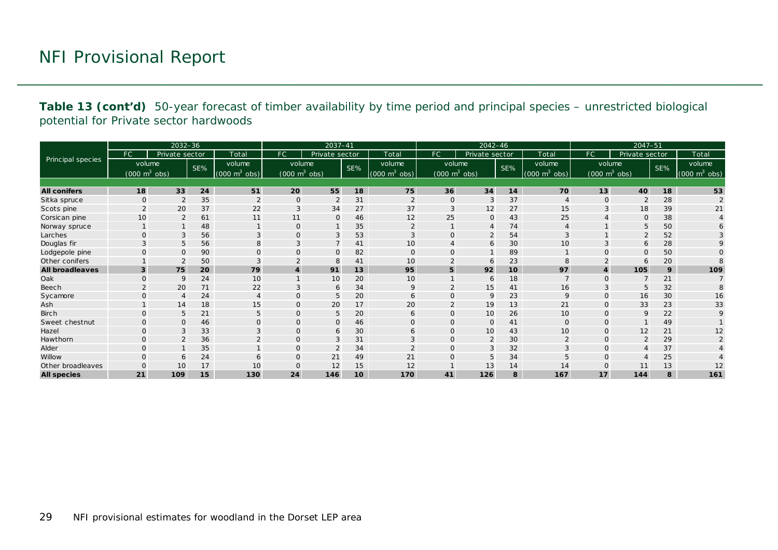**Table 13 (cont'd)** 50-year forecast of timber availability by time period and principal species – unrestricted biological potential for Private sector hardwoods

| $2032 - 36$            |                |                                 |     |                                | 2037-41                         |                |                  | $2042 - 46$                     |                                 |                |     | $2047 - 51$                     |              |                                 |     |                                     |
|------------------------|----------------|---------------------------------|-----|--------------------------------|---------------------------------|----------------|------------------|---------------------------------|---------------------------------|----------------|-----|---------------------------------|--------------|---------------------------------|-----|-------------------------------------|
|                        | FC.            | Private sector                  |     | Total                          | <b>FC</b>                       | Private sector |                  | Total                           | FC.                             | Private sector |     | Total                           | FC.          | Private sector                  |     | Total                               |
| Principal species      |                | volume                          | SE% | volume                         | volume                          |                | SE%              | volume                          | volume                          |                | SE% | volume                          |              | volume                          | SE% | volume                              |
|                        |                | $(000 \text{ m}^3 \text{ obs})$ |     | $(000 \text{ m}^3)$<br>$\cosh$ | $(000 \text{ m}^3 \text{ obs})$ |                |                  | $(000 \text{ m}^3 \text{ obs})$ | $(000 \text{ m}^3 \text{ obs})$ |                |     | $(000 \text{ m}^3 \text{ obs})$ |              | $(000 \text{ m}^3 \text{ obs})$ |     | $(000 \; \text{m}^3 \; \text{obs})$ |
|                        |                |                                 |     |                                |                                 |                |                  |                                 |                                 |                |     |                                 |              |                                 |     |                                     |
| <b>All conifers</b>    | 18             | 33                              | 24  | 51                             | 20                              | 55             | 18               | 75                              | 36                              | 34             | 14  | 70                              | 13           | 40                              | 18  | 53                                  |
| Sitka spruce           | $\Omega$       | $\overline{2}$                  | 35  | $\overline{2}$                 | $\mathbf 0$                     | 2              | 31               | $\mathcal{D}$                   | 0                               | 3              | 37  |                                 | $\Omega$     |                                 | 28  |                                     |
| Scots pine             | $\overline{2}$ | 20                              | 37  | 22                             | 3                               | 34             | 27               | 37                              | 3                               | 12             | 27  | 15                              | 3            | 18                              | 39  | 21                                  |
| Corsican pine          | 10             | $\overline{2}$                  | 61  | 11                             | 11                              | $\mathsf{O}$   | 46               | 12                              | 25                              | $\mathsf{O}$   | 43  | 25                              |              | $\mathbf{O}$                    | 38  | 4                                   |
| Norway spruce          |                |                                 | 48  |                                | $\mathbf 0$                     |                | 35               |                                 |                                 | 4              | 74  |                                 |              | 5                               | 50  |                                     |
| Larches                | $\Omega$       | 3                               | 56  |                                | $\Omega$                        | 3              | 53               | 3                               | $\Omega$                        | 2              | 54  | 3                               |              |                                 | 52  |                                     |
| Douglas fir            | 3              | 5                               | 56  | 8                              | 3                               | $\overline{7}$ | 41               | 10                              |                                 | 6              | 30  | 10                              |              | 6                               | 28  | 9                                   |
| Lodgepole pine         |                | $\Omega$                        | 90  | $\Omega$                       | $\Omega$                        | $\mathsf{O}$   | 82               | $\mathbf 0$                     | 0                               |                | 89  |                                 |              | $\Omega$                        | 50  | $\Omega$                            |
| Other conifers         |                |                                 | 50  |                                |                                 | 8              | 41               | 10                              |                                 | 6              | 23  | 8                               |              | 6                               | 20  |                                     |
| <b>All broadleaves</b> | 3              | 75                              | 20  | 79                             | $\overline{4}$                  | 91             | 13               | 95                              | 5                               | 92             | 10  | 97                              |              | 105                             | 9   | 109                                 |
| Oak                    | $\Omega$       | 9                               | 24  | 10                             |                                 | 10             | 20               | 10                              |                                 | 6              | 18  |                                 | $\Omega$     |                                 | 21  |                                     |
| Beech                  |                | 20                              | 71  | 22                             |                                 | 6              | 34               | 9                               |                                 | 15             | 41  | 16                              |              | 5                               | 32  |                                     |
| Sycamore               |                |                                 | 24  |                                | $\overline{0}$                  | 5              | 20               | 6                               | 0                               | 9              | 23  | 9                               | $\Omega$     | 16                              | 30  | 16                                  |
| Ash                    |                | 14                              | 18  | 15                             | $\overline{0}$                  | 20             | 17               | 20                              | $\overline{2}$                  | 19             | 13  | 21                              | $\mathbf{O}$ | 33                              | 23  | 33                                  |
| <b>Birch</b>           | $\mathbf{O}$   | 5                               | 21  | 5                              | $\mathbf 0$                     | 5              | 20               | 6                               | 0                               | 10             | 26  | 10                              | $\mathbf{O}$ | 9                               | 22  | Q                                   |
| Sweet chestnut         | $\Omega$       | $\Omega$                        | 46  | $\Omega$                       | $\mathbf 0$                     | $\mathbf{O}$   | 46               | $\Omega$                        | $\Omega$                        | $\mathbf 0$    | 41  | $\mathbf 0$                     | $\Omega$     |                                 | 49  |                                     |
| Hazel                  | $\Omega$       | 3                               | 33  |                                | 0                               | 6              | 30               | 6                               | $\Omega$                        | 10             | 43  | 10                              | $\Omega$     | 12                              | 21  | 12                                  |
| Hawthorn               | $\mathbf{O}$   | $\overline{2}$                  | 36  |                                | $\mathbf{0}$                    | 3              | 31               | 3                               | $\Omega$                        | $\overline{2}$ | 30  | 2                               | $\mathbf{O}$ | $\overline{2}$                  | 29  |                                     |
| Alder                  | $\Omega$       |                                 | 35  |                                | $\mathbf 0$                     | $\overline{2}$ | 34               |                                 | $\Omega$                        | 3              | 32  | 3                               | $\Omega$     |                                 | 37  |                                     |
| Willow                 |                | 6                               | 24  |                                | $\mathbf 0$                     | 21             | 49               | 21                              | $\Omega$                        | 5              | 34  | 5                               |              |                                 | 25  |                                     |
| Other broadleaves      | $\Omega$       | 10                              | 17  | 10                             | $\mathbf 0$                     | 12             | 15               | 12                              |                                 | 13             | 14  | 14                              | $\Omega$     | 11                              | 13  | 12                                  |
| <b>All species</b>     | 21             | 109                             | 15  | 130                            | 24                              | 146            | 10 <sup>10</sup> | 170                             | 41                              | 126            | 8   | 167                             | 17           | 144                             | 8   | 161                                 |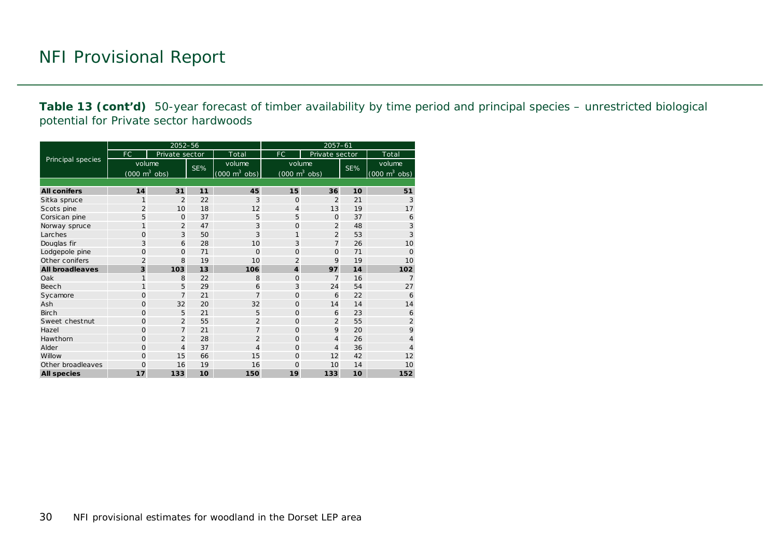**Table 13 (cont'd)** 50-year forecast of timber availability by time period and principal species – unrestricted biological potential for Private sector hardwoods

|                        |                                     | 2052-56        |     |                                 | $2057 - 61$                         |                |     |                                 |  |  |
|------------------------|-------------------------------------|----------------|-----|---------------------------------|-------------------------------------|----------------|-----|---------------------------------|--|--|
|                        | FC                                  | Private sector |     | Total                           | <b>FC</b>                           | Private sector |     | Total                           |  |  |
| Principal species      | volume                              |                | SE% | volume                          | volume                              |                | SE% | volume                          |  |  |
|                        | $(000 \; \text{m}^3 \; \text{obs})$ |                |     | $(000 \text{ m}^3 \text{ obs})$ | $(000 \; \text{m}^3 \; \text{obs})$ |                |     | $(000 \text{ m}^3 \text{ obs})$ |  |  |
|                        |                                     |                |     |                                 |                                     |                |     |                                 |  |  |
| <b>All conifers</b>    | 14                                  | 31             | 11  | 45                              | 15                                  | 36             | 10  | 51                              |  |  |
| Sitka spruce           | 1                                   | $\overline{2}$ | 22  | 3                               | $\Omega$                            | $\overline{2}$ | 21  | 3                               |  |  |
| Scots pine             | $\overline{2}$                      | 10             | 18  | 12                              | 4                                   | 13             | 19  | 17                              |  |  |
| Corsican pine          | 5                                   | $\mathbf{O}$   | 37  | 5                               | 5                                   | $\Omega$       | 37  | 6                               |  |  |
| Norway spruce          | $\mathbf{1}$                        | $\overline{2}$ | 47  | 3                               | $\Omega$                            | $\overline{2}$ | 48  | 3                               |  |  |
| Larches                | $\Omega$                            | 3              | 50  | 3                               | 1                                   | $\overline{2}$ | 53  | 3                               |  |  |
| Douglas fir            | 3                                   | 6              | 28  | 10                              | 3                                   | $\overline{7}$ | 26  | 10                              |  |  |
| Lodgepole pine         | 0                                   | 0              | 71  | $\Omega$                        | $\Omega$                            | $\Omega$       | 71  | $\Omega$                        |  |  |
| Other conifers         | $\overline{2}$                      | 8              | 19  | 10                              | $\overline{2}$                      | 9              | 19  | 10                              |  |  |
| <b>All broadleaves</b> | 3                                   | 103            | 13  | 106                             | $\overline{\mathbf{4}}$             | 97             | 14  | 102                             |  |  |
| Oak                    | $\mathbf{1}$                        | 8              | 22  | 8                               | $\overline{0}$                      | $\overline{7}$ | 16  | $\overline{7}$                  |  |  |
| <b>Beech</b>           | $\mathbf{1}$                        | 5              | 29  | 6                               | 3                                   | 24             | 54  | 27                              |  |  |
| Sycamore               | 0                                   | $\overline{7}$ | 21  | $\overline{7}$                  | $\Omega$                            | 6              | 22  | 6                               |  |  |
| Ash                    | $\circ$                             | 32             | 20  | 32                              | $\Omega$                            | 14             | 14  | 14                              |  |  |
| <b>Birch</b>           | $\Omega$                            | 5              | 21  | 5                               | $\Omega$                            | 6              | 23  | 6                               |  |  |
| Sweet chestnut         | $\Omega$                            | $\overline{2}$ | 55  | $\overline{2}$                  | $\Omega$                            | $\overline{2}$ | 55  | $\overline{2}$                  |  |  |
| Hazel                  | $\Omega$                            | $\overline{7}$ | 21  | $\overline{7}$                  | $\Omega$                            | 9              | 20  | 9                               |  |  |
| Hawthorn               | $\Omega$                            | $\overline{2}$ | 28  | $\overline{2}$                  | $\Omega$                            | 4              | 26  | $\overline{4}$                  |  |  |
| Alder                  | $\Omega$                            | 4              | 37  | 4                               | $\Omega$                            | 4              | 36  | 4                               |  |  |
| Willow                 | $\Omega$                            | 15             | 66  | 15                              | $\Omega$                            | 12             | 42  | 12                              |  |  |
| Other broadleaves      | 0                                   | 16             | 19  | 16                              | 0                                   | 10             | 14  | 10                              |  |  |
| <b>All species</b>     | 17                                  | 133            | 10  | 150                             | 19                                  | 133            | 10  | 152                             |  |  |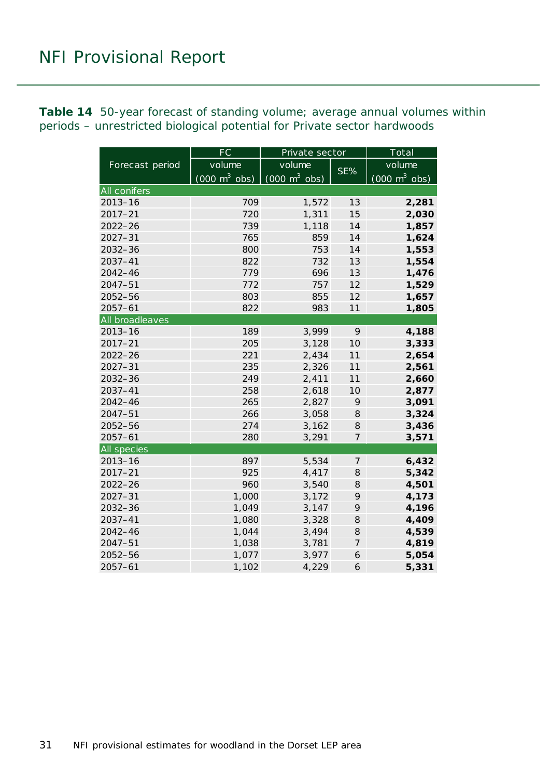<span id="page-30-0"></span>**Table 14** 50-year forecast of standing volume; average annual volumes within periods – unrestricted biological potential for Private sector hardwoods

|                 | <b>FC</b>                       | Private sector                      |                | Total                           |  |  |
|-----------------|---------------------------------|-------------------------------------|----------------|---------------------------------|--|--|
| Forecast period | volume                          | volume                              | SE%            | volume                          |  |  |
|                 | $(000 \text{ m}^3 \text{ obs})$ | $(000 \; \text{m}^3 \; \text{obs})$ |                | $(000 \text{ m}^3 \text{ obs})$ |  |  |
| All conifers    |                                 |                                     |                |                                 |  |  |
| $2013 - 16$     | 709                             | 1,572                               | 13             | 2,281                           |  |  |
| $2017 - 21$     | 720                             | 1,311                               | 15             | 2,030                           |  |  |
| $2022 - 26$     | 739                             | 1,118                               | 14             | 1,857                           |  |  |
| $2027 - 31$     | 765                             | 859                                 | 14             | 1,624                           |  |  |
| 2032-36         | 800                             | 753                                 | 14             | 1,553                           |  |  |
| $2037 - 41$     | 822                             | 732                                 | 13             | 1,554                           |  |  |
| $2042 - 46$     | 779                             | 696                                 | 13             | 1,476                           |  |  |
| $2047 - 51$     | 772                             | 757                                 | 12             | 1,529                           |  |  |
| $2052 - 56$     | 803                             | 855                                 | 12             | 1,657                           |  |  |
| $2057 - 61$     | 822                             | 983                                 | 11             | 1,805                           |  |  |
| All broadleaves |                                 |                                     |                |                                 |  |  |
| $2013 - 16$     | 189                             | 3,999                               | 9              | 4,188                           |  |  |
| $2017 - 21$     | 205                             | 3,128                               | 10             | 3,333                           |  |  |
| $2022 - 26$     | 221                             | 2,434                               | 11             | 2,654                           |  |  |
| $2027 - 31$     | 235                             | 2,326                               | 11             | 2,561                           |  |  |
| 2032-36         | 249                             | 2,411                               | 11             | 2,660                           |  |  |
| 2037-41         | 258                             | 2,618                               | 10             | 2,877                           |  |  |
| $2042 - 46$     | 265                             | 2,827                               | 9              | 3,091                           |  |  |
| $2047 - 51$     | 266                             | 3,058                               | 8              | 3,324                           |  |  |
| 2052-56         | 274                             | 3,162                               | 8              | 3,436                           |  |  |
| $2057 - 61$     | 280                             | 3,291                               | $\overline{7}$ | 3,571                           |  |  |
| All species     |                                 |                                     |                |                                 |  |  |
| $2013 - 16$     | 897                             | 5,534                               | 7              | 6,432                           |  |  |
| $2017 - 21$     | 925                             | 4,417                               | 8              | 5,342                           |  |  |
| $2022 - 26$     | 960                             | 3,540                               | 8              | 4,501                           |  |  |
| $2027 - 31$     | 1,000                           | 3,172                               | 9              | 4,173                           |  |  |
| $2032 - 36$     | 1,049                           | 3,147                               | 9              | 4,196                           |  |  |
| $2037 - 41$     | 1,080                           | 3,328                               | 8              | 4,409                           |  |  |
| $2042 - 46$     | 1,044                           | 3,494                               | 8              | 4,539                           |  |  |
| $2047 - 51$     | 1,038                           | 3,781                               | $\overline{z}$ | 4,819                           |  |  |
| $2052 - 56$     | 1,077                           | 3,977                               | 6              | 5,054                           |  |  |
| $2057 - 61$     | 1,102                           | 4,229                               | 6              | 5,331                           |  |  |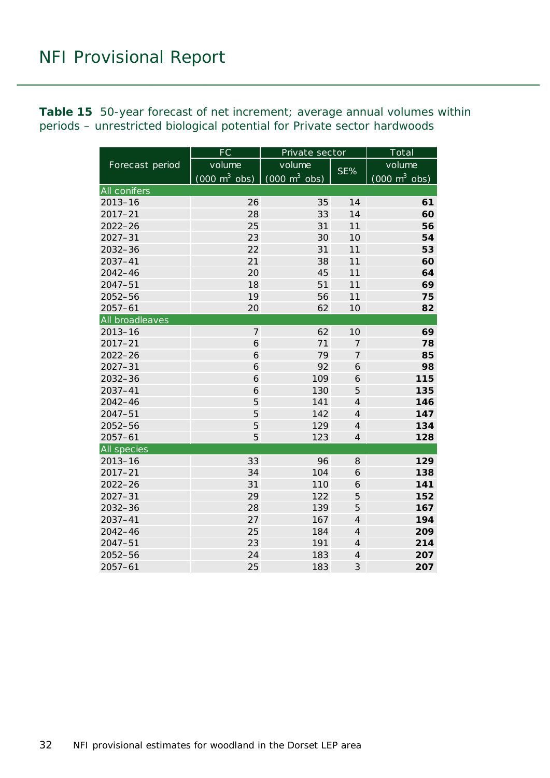<span id="page-31-0"></span>**Table 15** 50-year forecast of net increment; average annual volumes within periods – unrestricted biological potential for Private sector hardwoods

|                 | <b>FC</b>                       | Private sector                      | Total          |                                 |
|-----------------|---------------------------------|-------------------------------------|----------------|---------------------------------|
| Forecast period | volume                          | volume                              |                | volume                          |
|                 | $(000 \text{ m}^3 \text{ obs})$ | $(000 \; \text{m}^3 \; \text{obs})$ | SE%            | $(000 \text{ m}^3 \text{ obs})$ |
| All conifers    |                                 |                                     |                |                                 |
| $2013 - 16$     | 26                              | 35                                  | 14             | 61                              |
| $2017 - 21$     | 28                              | 33                                  | 14             | 60                              |
| $2022 - 26$     | 25                              | 31                                  | 11             | 56                              |
| $2027 - 31$     | 23                              | 30                                  | 10             | 54                              |
| $2032 - 36$     | 22                              | 31                                  | 11             | 53                              |
| $2037 - 41$     | 21                              | 38                                  | 11             | 60                              |
| $2042 - 46$     | 20                              | 45                                  | 11             | 64                              |
| $2047 - 51$     | 18                              | 51                                  | 11             | 69                              |
| 2052-56         | 19                              | 56                                  | 11             | 75                              |
| $2057 - 61$     | 20                              | 62                                  | 10             | 82                              |
| All broadleaves |                                 |                                     |                |                                 |
| $2013 - 16$     | $\overline{7}$                  | 62                                  | 10             | 69                              |
| $2017 - 21$     | 6                               | 71                                  | $\overline{7}$ | 78                              |
| $2022 - 26$     | 6                               | 79                                  | $\overline{z}$ | 85                              |
| $2027 - 31$     | 6                               | 92                                  | 6              | 98                              |
| $2032 - 36$     | 6                               | 109                                 | 6              | 115                             |
| $2037 - 41$     | 6                               | 130                                 | 5              | 135                             |
| $2042 - 46$     | 5                               | 141                                 | $\overline{4}$ | 146                             |
| $2047 - 51$     | 5                               | 142                                 | $\overline{4}$ | 147                             |
| 2052-56         | 5                               | 129                                 | $\overline{4}$ | 134                             |
| $2057 - 61$     | 5                               | 123                                 | $\overline{4}$ | 128                             |
| All species     |                                 |                                     |                |                                 |
| $2013 - 16$     | 33                              | 96                                  | 8              | 129                             |
| $2017 - 21$     | 34                              | 104                                 | 6              | 138                             |
| $2022 - 26$     | 31                              | 110                                 | 6              | 141                             |
| $2027 - 31$     | 29                              | 122                                 | 5              | 152                             |
| $2032 - 36$     | 28                              | 139                                 | 5              | 167                             |
| 2037-41         | 27                              | 167                                 | $\overline{4}$ | 194                             |
| $2042 - 46$     | 25                              | 184                                 | $\overline{4}$ | 209                             |
| $2047 - 51$     | 23                              | 191                                 | $\overline{4}$ | 214                             |
| 2052-56         | 24                              | 183                                 | $\overline{4}$ | 207                             |
| $2057 - 61$     | 25                              | 183                                 | 3              | 207                             |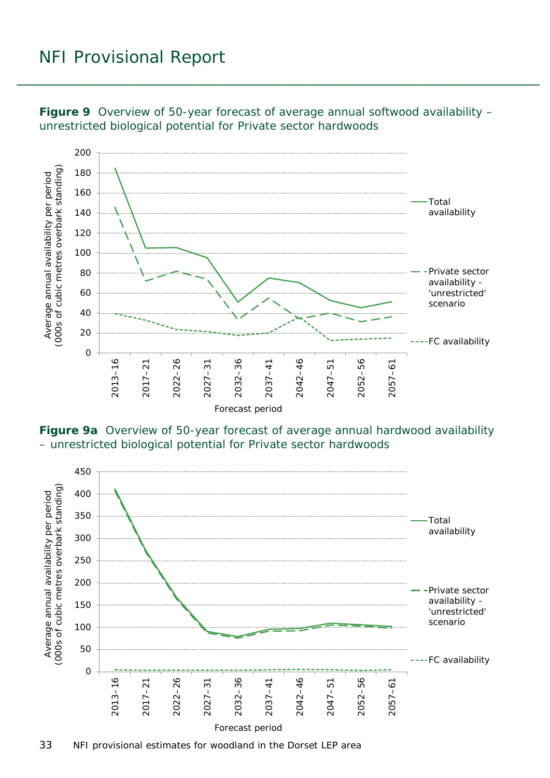

<span id="page-32-0"></span>**Figure 9** Overview of 50-year forecast of average annual softwood availability – unrestricted biological potential for Private sector hardwoods

<span id="page-32-1"></span>**Figure 9a** Overview of 50-year forecast of average annual hardwood availability – unrestricted biological potential for Private sector hardwoods



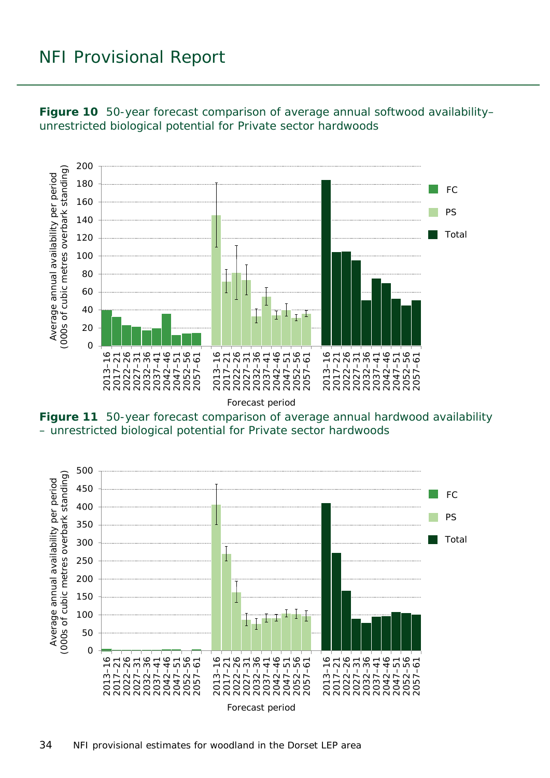

<span id="page-33-0"></span>**Figure 10** 50-year forecast comparison of average annual softwood availability– unrestricted biological potential for Private sector hardwoods

Forecast period

<span id="page-33-1"></span>**Figure 11** 50-year forecast comparison of average annual hardwood availability – unrestricted biological potential for Private sector hardwoods

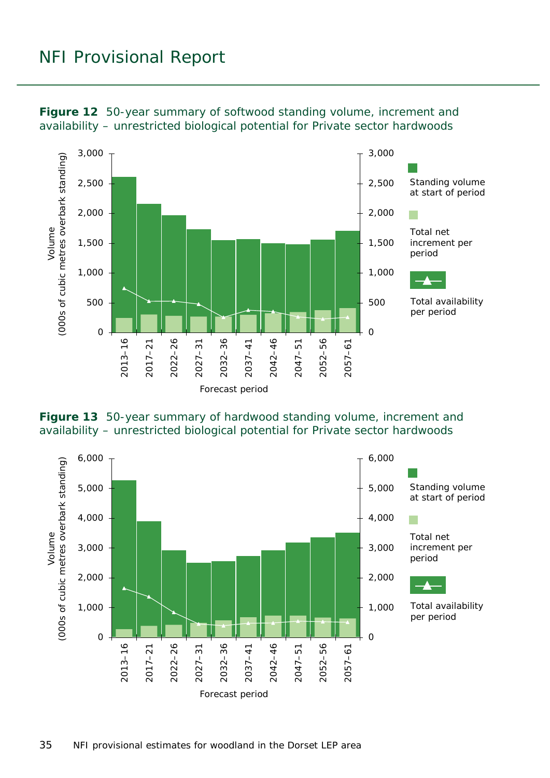

<span id="page-34-0"></span>**Figure 12** 50-year summary of softwood standing volume, increment and availability – unrestricted biological potential for Private sector hardwoods

<span id="page-34-1"></span>

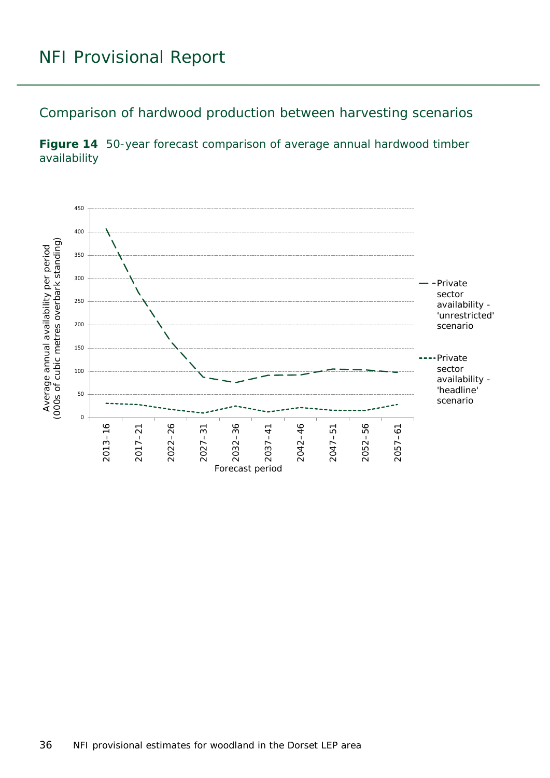<span id="page-35-0"></span>Comparison of hardwood production between harvesting scenarios

<span id="page-35-1"></span>

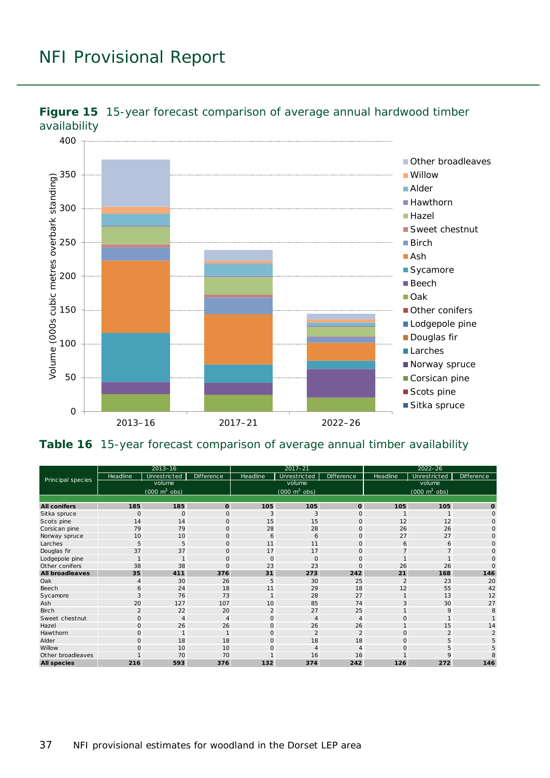

<span id="page-36-0"></span>**Figure 15** 15-year forecast comparison of average annual hardwood timber availability

<span id="page-36-1"></span>

|  |  | Table 16 15-year forecast comparison of average annual timber availability |  |
|--|--|----------------------------------------------------------------------------|--|
|  |  |                                                                            |  |

| Principal species      | $2013 - 16$                         |                |                                 | $2017 - 21$    |                                     | $2022 - 26$       |                |                |                   |
|------------------------|-------------------------------------|----------------|---------------------------------|----------------|-------------------------------------|-------------------|----------------|----------------|-------------------|
|                        | Headline                            | Unrestricted   | Difference                      | Headline       | Unrestricted                        | <b>Difference</b> | Headline       | Unrestricted   | <b>Difference</b> |
|                        | volume                              |                | volume                          |                | volume                              |                   |                |                |                   |
|                        | $(000 \; \text{m}^3 \; \text{obs})$ |                | $(000 \text{ m}^3 \text{ obs})$ |                | $(000 \; \text{m}^3 \; \text{obs})$ |                   |                |                |                   |
|                        |                                     |                |                                 |                |                                     |                   |                |                |                   |
| <b>All conifers</b>    | 185                                 | 185            | $\mathbf 0$                     | 105            | 105                                 | $\mathbf{o}$      | 105            | 105            | $\mathbf 0$       |
| Sitka spruce           | $\circ$                             | $\Omega$       | $\circ$                         | 3              | 3                                   | $\circ$           |                |                | $\Omega$          |
| Scots pine             | 14                                  | 14             | $\Omega$                        | 15             | 15                                  | 0                 | 12             | 12             | 0                 |
| Corsican pine          | 79                                  | 79             | $\mathbf{O}$                    | 28             | 28                                  | 0                 | 26             | 26             | 0                 |
| Norway spruce          | 10                                  | 10             | $\mathbf{O}$                    | 6              | 6                                   | $\mathsf{O}$      | 27             | 27             | $\Omega$          |
| Larches                | 5                                   | 5              | $\circ$                         | 11             | 11                                  | $\mathbf{O}$      | 6              | 6              | Ω                 |
| Douglas fir            | 37                                  | 37             | $\Omega$                        | 17             | 17                                  | $\mathbf 0$       |                |                | 0                 |
| Lodgepole pine         | $\mathbf{1}$                        |                | $\Omega$                        | $\mathbf{O}$   | $\mathbf{O}$                        | $\mathsf{O}$      |                |                | 0                 |
| Other conifers         | 38                                  | 38             | $\Omega$                        | 23             | 23                                  | $\mathbf 0$       | 26             | 26             | O                 |
| <b>All broadleaves</b> | 35                                  | 411            | 376                             | 31             | 273                                 | 242               | 21             | 168            | 146               |
| Oak                    | 4                                   | 30             | 26                              | 5              | 30                                  | 25                | $\overline{2}$ | 23             | 20                |
| Beech                  | 6                                   | 24             | 18                              | 11             | 29                                  | 18                | 12             | 55             | 42                |
| Sycamore               | 3                                   | 76             | 73                              | $\mathbf{1}$   | 28                                  | 27                | $\mathbf{1}$   | 13             | 12                |
| Ash                    | 20                                  | 127            | 107                             | 10             | 85                                  | 74                | 3              | 30             | 27                |
| <b>Birch</b>           | $\overline{2}$                      | 22             | 20                              | $\overline{2}$ | 27                                  | 25                |                | 9              | 8                 |
| Sweet chestnut         | 0                                   | $\overline{4}$ | $\overline{4}$                  | $\mathbf{O}$   | $\overline{4}$                      | $\overline{4}$    | $\mathbf 0$    |                |                   |
| Hazel                  | $\mathsf{O}$                        | 26             | 26                              | $\mathbf{O}$   | 26                                  | 26                | $\mathbf{1}$   | 15             | 14                |
| Hawthorn               | $\mathbf{O}$                        |                | $\mathbf{1}$                    | $\mathbf 0$    | $\overline{2}$                      | $\overline{2}$    | $\circ$        | $\overline{2}$ | 2                 |
| Alder                  | 0                                   | 18             | 18                              | $\mathbf{O}$   | 18                                  | 18                | $\mathbf{O}$   | 5              | 5                 |
| Willow                 | $\Omega$                            | 10             | 10                              | $\Omega$       |                                     | $\overline{4}$    | $\Omega$       | 5              | 5                 |
| Other broadleaves      |                                     | 70             | 70                              |                | 16                                  | 16                |                | Q              |                   |
| <b>All species</b>     | 216                                 | 593            | 376                             | 132            | 374                                 | 242               | 126            | 272            | 146               |